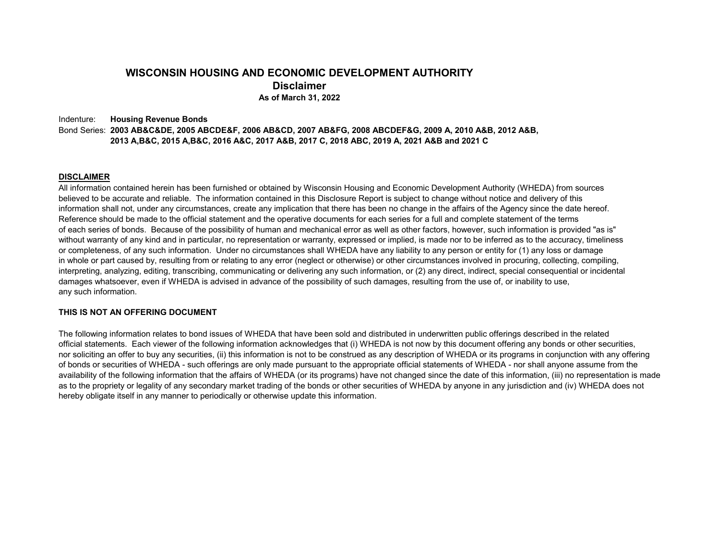### **WISCONSIN HOUSING AND ECONOMIC DEVELOPMENT AUTHORITY Disclaimer As of March 31, 2022**

Indenture: **Housing Revenue Bonds** Bond Series: **2003 AB&C&DE, 2005 ABCDE&F, 2006 AB&CD, 2007 AB&FG, 2008 ABCDEF&G, 2009 A, 2010 A&B, 2012 A&B, 2013 A,B&C, 2015 A,B&C, 2016 A&C, 2017 A&B, 2017 C, 2018 ABC, 2019 A, 2021 A&B and 2021 C** 

#### **DISCLAIMER**

All information contained herein has been furnished or obtained by Wisconsin Housing and Economic Development Authority (WHEDA) from sources believed to be accurate and reliable. The information contained in this Disclosure Report is subject to change without notice and delivery of this information shall not, under any circumstances, create any implication that there has been no change in the affairs of the Agency since the date hereof. Reference should be made to the official statement and the operative documents for each series for a full and complete statement of the terms of each series of bonds. Because of the possibility of human and mechanical error as well as other factors, however, such information is provided "as is" without warranty of any kind and in particular, no representation or warranty, expressed or implied, is made nor to be inferred as to the accuracy, timeliness or completeness, of any such information. Under no circumstances shall WHEDA have any liability to any person or entity for (1) any loss or damage in whole or part caused by, resulting from or relating to any error (neglect or otherwise) or other circumstances involved in procuring, collecting, compiling, interpreting, analyzing, editing, transcribing, communicating or delivering any such information, or (2) any direct, indirect, special consequential or incidental damages whatsoever, even if WHEDA is advised in advance of the possibility of such damages, resulting from the use of, or inability to use, any such information.

#### **THIS IS NOT AN OFFERING DOCUMENT**

The following information relates to bond issues of WHEDA that have been sold and distributed in underwritten public offerings described in the related official statements. Each viewer of the following information acknowledges that (i) WHEDA is not now by this document offering any bonds or other securities, nor soliciting an offer to buy any securities, (ii) this information is not to be construed as any description of WHEDA or its programs in conjunction with any offering of bonds or securities of WHEDA - such offerings are only made pursuant to the appropriate official statements of WHEDA - nor shall anyone assume from the availability of the following information that the affairs of WHEDA (or its programs) have not changed since the date of this information, (iii) no representation is made as to the propriety or legality of any secondary market trading of the bonds or other securities of WHEDA by anyone in any jurisdiction and (iv) WHEDA does not hereby obligate itself in any manner to periodically or otherwise update this information.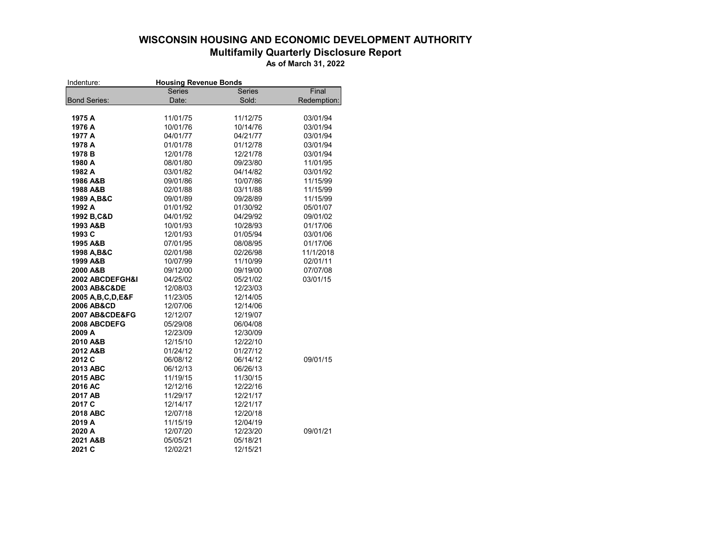## **WISCONSIN HOUSING AND ECONOMIC DEVELOPMENT AUTHORITY Multifamily Quarterly Disclosure Report**

**As of March 31, 2022**

| Indenture:          | <b>Housing Revenue Bonds</b> |               |             |
|---------------------|------------------------------|---------------|-------------|
|                     | <b>Series</b>                | <b>Series</b> | Final       |
| <b>Bond Series:</b> | Date:                        | Sold:         | Redemption: |
|                     |                              |               |             |
| 1975 A              | 11/01/75                     | 11/12/75      | 03/01/94    |
| 1976 A              | 10/01/76                     | 10/14/76      | 03/01/94    |
| 1977 A              | 04/01/77                     | 04/21/77      | 03/01/94    |
| 1978 A              | 01/01/78                     | 01/12/78      | 03/01/94    |
| 1978 B              | 12/01/78                     | 12/21/78      | 03/01/94    |
| 1980 A              | 08/01/80                     | 09/23/80      | 11/01/95    |
| 1982 A              | 03/01/82                     | 04/14/82      | 03/01/92    |
| 1986 A&B            | 09/01/86                     | 10/07/86      | 11/15/99    |
| 1988 A&B            | 02/01/88                     | 03/11/88      | 11/15/99    |
| 1989 A.B&C          | 09/01/89                     | 09/28/89      | 11/15/99    |
| 1992 A              | 01/01/92                     | 01/30/92      | 05/01/07    |
| 1992 B, C&D         | 04/01/92                     | 04/29/92      | 09/01/02    |
| 1993 A&B            | 10/01/93                     | 10/28/93      | 01/17/06    |
| 1993 C              | 12/01/93                     | 01/05/94      | 03/01/06    |
| 1995 A&B            | 07/01/95                     | 08/08/95      | 01/17/06    |
| 1998 A, B&C         | 02/01/98                     | 02/26/98      | 11/1/2018   |
| 1999 A&B            | 10/07/99                     | 11/10/99      | 02/01/11    |
| 2000 A&B            | 09/12/00                     | 09/19/00      | 07/07/08    |
| 2002 ABCDEFGH&I     | 04/25/02                     | 05/21/02      | 03/01/15    |
| 2003 AB&C&DE        | 12/08/03                     | 12/23/03      |             |
| 2005 A.B.C.D.E&F    | 11/23/05                     | 12/14/05      |             |
| 2006 AB&CD          | 12/07/06                     | 12/14/06      |             |
| 2007 AB&CDE&FG      | 12/12/07                     | 12/19/07      |             |
| 2008 ABCDEFG        | 05/29/08                     | 06/04/08      |             |
| 2009 A              | 12/23/09                     | 12/30/09      |             |
| 2010 A&B            | 12/15/10                     | 12/22/10      |             |
| 2012 A&B            | 01/24/12                     | 01/27/12      |             |
| 2012 C              | 06/08/12                     | 06/14/12      | 09/01/15    |
| 2013 ABC            | 06/12/13                     | 06/26/13      |             |
| 2015 ABC            | 11/19/15                     | 11/30/15      |             |
| 2016 AC             | 12/12/16                     | 12/22/16      |             |
| 2017 AB             | 11/29/17                     | 12/21/17      |             |
| 2017 C              | 12/14/17                     | 12/21/17      |             |
| 2018 ABC            | 12/07/18                     | 12/20/18      |             |
| 2019 A              | 11/15/19                     | 12/04/19      |             |
| 2020 A              | 12/07/20                     | 12/23/20      | 09/01/21    |
| 2021 A&B            | 05/05/21                     | 05/18/21      |             |
| 2021 C              | 12/02/21                     | 12/15/21      |             |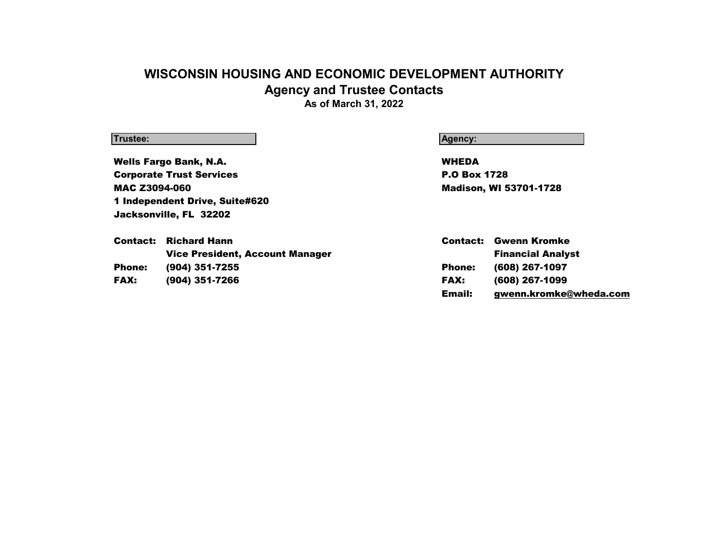## **WISCONSIN HOUSING AND ECONOMIC DEVELOPMENT AUTHORITY Agency and Trustee Contacts As of March 31, 2022**

Wells Fargo Bank, N.A. **WHEDA Corporate Trust Services P.O Box 1728** MAC Z3094-060 Madison, WI 53701-1728 1 Independent Drive, Suite#620 Jacksonville, FL 32202

**Trustee: Agency:**

|               | <b>Contact:</b> Richard Hann           | Contact:      | Gwenn Kromke             |
|---------------|----------------------------------------|---------------|--------------------------|
|               | <b>Vice President, Account Manager</b> |               | <b>Financial Analyst</b> |
| <b>Phone:</b> | (904) 351-7255                         | <b>Phone:</b> | (608) 267-1097           |
| <b>FAX:</b>   | (904) 351-7266                         | <b>FAX:</b>   | (608) 267-1099           |
|               |                                        | Email:        | gwenn.kromke@wheda.com   |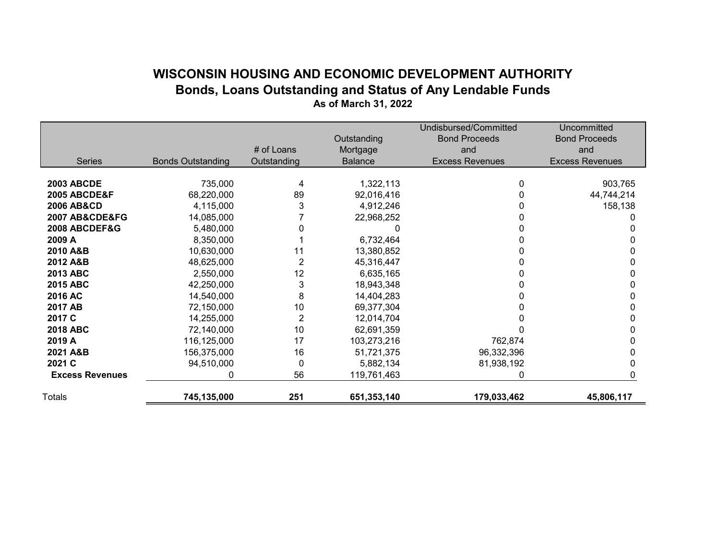## **WISCONSIN HOUSING AND ECONOMIC DEVELOPMENT AUTHORITY Bonds, Loans Outstanding and Status of Any Lendable Funds As of March 31, 2022**

|                               |                          |                |                | Undisbursed/Committed  | Uncommitted            |
|-------------------------------|--------------------------|----------------|----------------|------------------------|------------------------|
|                               |                          |                | Outstanding    | <b>Bond Proceeds</b>   | <b>Bond Proceeds</b>   |
|                               |                          | # of Loans     | Mortgage       | and                    | and                    |
| <b>Series</b>                 | <b>Bonds Outstanding</b> | Outstanding    | <b>Balance</b> | <b>Excess Revenues</b> | <b>Excess Revenues</b> |
|                               |                          |                |                |                        |                        |
| <b>2003 ABCDE</b>             | 735,000                  | 4              | 1,322,113      | 0                      | 903,765                |
| <b>2005 ABCDE&amp;F</b>       | 68,220,000               | 89             | 92,016,416     |                        | 44,744,214             |
| <b>2006 AB&amp;CD</b>         | 4,115,000                | 3              | 4,912,246      |                        | 158,138                |
| <b>2007 AB&amp;CDE&amp;FG</b> | 14,085,000               |                | 22,968,252     |                        |                        |
| 2008 ABCDEF&G                 | 5,480,000                |                |                |                        |                        |
| 2009 A                        | 8,350,000                |                | 6,732,464      |                        |                        |
| 2010 A&B                      | 10,630,000               | 11             | 13,380,852     |                        |                        |
| 2012 A&B                      | 48,625,000               | 2              | 45,316,447     |                        |                        |
| 2013 ABC                      | 2,550,000                | 12             | 6,635,165      |                        |                        |
| <b>2015 ABC</b>               | 42,250,000               | 3              | 18,943,348     |                        |                        |
| 2016 AC                       | 14,540,000               | 8              | 14,404,283     |                        |                        |
| 2017 AB                       | 72,150,000               | 10             | 69,377,304     |                        |                        |
| 2017 C                        | 14,255,000               | $\overline{c}$ | 12,014,704     |                        |                        |
| <b>2018 ABC</b>               | 72,140,000               | 10             | 62,691,359     |                        |                        |
| 2019 A                        | 116,125,000              | 17             | 103,273,216    | 762,874                |                        |
| 2021 A&B                      | 156,375,000              | 16             | 51,721,375     | 96,332,396             |                        |
| 2021 C                        | 94,510,000               | 0              | 5,882,134      | 81,938,192             |                        |
| <b>Excess Revenues</b>        | 0                        | 56             | 119,761,463    | 0                      |                        |
| <b>Totals</b>                 | 745,135,000              | 251            | 651,353,140    | 179,033,462            | 45,806,117             |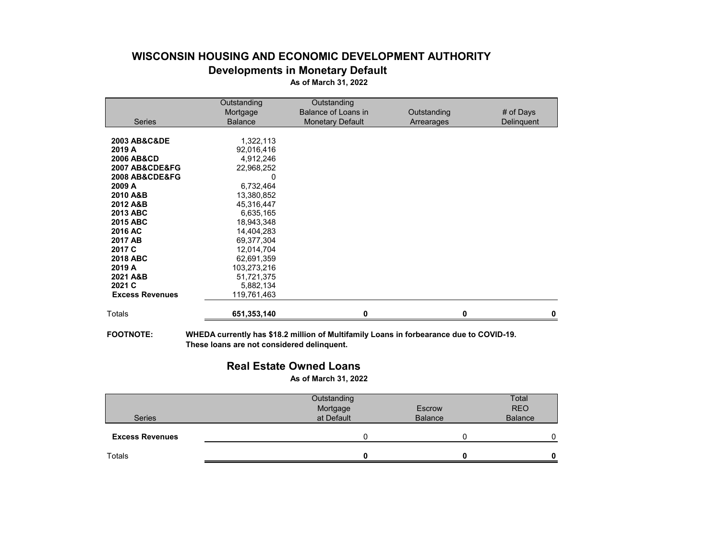## **WISCONSIN HOUSING AND ECONOMIC DEVELOPMENT AUTHORITY Developments in Monetary Default As of March 31, 2022**

| Outstanding    | Outstanding             |             |            |
|----------------|-------------------------|-------------|------------|
| Mortgage       | Balance of Loans in     | Outstanding | # of Days  |
| <b>Balance</b> | <b>Monetary Default</b> | Arrearages  | Delinguent |
|                |                         |             |            |
|                |                         |             |            |
| 92,016,416     |                         |             |            |
| 4,912,246      |                         |             |            |
| 22,968,252     |                         |             |            |
| 0              |                         |             |            |
| 6,732,464      |                         |             |            |
| 13,380,852     |                         |             |            |
| 45,316,447     |                         |             |            |
| 6,635,165      |                         |             |            |
| 18,943,348     |                         |             |            |
| 14,404,283     |                         |             |            |
| 69,377,304     |                         |             |            |
|                |                         |             |            |
| 62,691,359     |                         |             |            |
| 103,273,216    |                         |             |            |
| 51,721,375     |                         |             |            |
| 5,882,134      |                         |             |            |
| 119,761,463    |                         |             |            |
| 651,353,140    | U                       | O           |            |
|                | 1,322,113<br>12,014,704 |             |            |

**FOOTNOTE: WHEDA currently has \$18.2 million of Multifamily Loans in forbearance due to COVID-19. These loans are not considered delinquent.**

## **Real Estate Owned Loans**

**As of March 31, 2022**

| <b>Series</b>          | Outstanding<br>Mortgage<br>at Default | Escrow<br><b>Balance</b> | Total<br><b>REO</b><br><b>Balance</b> |
|------------------------|---------------------------------------|--------------------------|---------------------------------------|
| <b>Excess Revenues</b> |                                       |                          |                                       |
| Totals                 |                                       |                          | U                                     |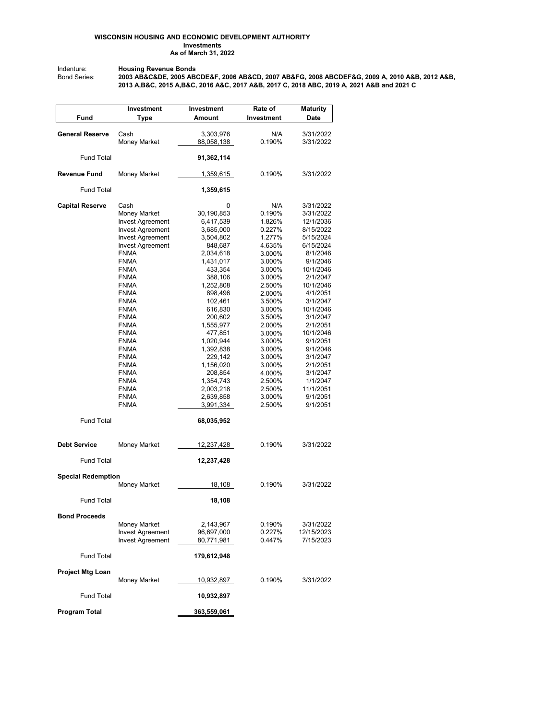#### **WISCONSIN HOUSING AND ECONOMIC DEVELOPMENT AUTHORITY Investments As of March 31, 2022**

Indenture: **Housing Revenue Bonds**

Bond Series: **2003 AB&C&DE, 2005 ABCDE&F, 2006 AB&CD, 2007 AB&FG, 2008 ABCDEF&G, 2009 A, 2010 A&B, 2012 A&B, 2013 A,B&C, 2015 A,B&C, 2016 A&C, 2017 A&B, 2017 C, 2018 ABC, 2019 A, 2021 A&B and 2021 C** 

|                           | Investment              | Investment              | Rate of    | <b>Maturity</b>        |
|---------------------------|-------------------------|-------------------------|------------|------------------------|
| Fund                      | Type                    | Amount                  | Investment | Date                   |
|                           |                         |                         | N/A        |                        |
| <b>General Reserve</b>    | Cash<br>Money Market    | 3,303,976<br>88,058,138 | 0.190%     | 3/31/2022<br>3/31/2022 |
|                           |                         |                         |            |                        |
| <b>Fund Total</b>         |                         | 91,362,114              |            |                        |
| <b>Revenue Fund</b>       | Money Market            | 1,359,615               | 0.190%     | 3/31/2022              |
| <b>Fund Total</b>         |                         | 1,359,615               |            |                        |
| <b>Capital Reserve</b>    | Cash                    | 0                       | N/A        | 3/31/2022              |
|                           | Money Market            | 30,190,853              | 0.190%     | 3/31/2022              |
|                           | <b>Invest Agreement</b> | 6,417,539               | 1.826%     | 12/1/2036              |
|                           | <b>Invest Agreement</b> | 3,685,000               | 0.227%     | 8/15/2022              |
|                           | <b>Invest Agreement</b> | 3,504,802               | 1.277%     | 5/15/2024              |
|                           | <b>Invest Agreement</b> | 848,687                 | 4.635%     | 6/15/2024              |
|                           | <b>FNMA</b>             | 2,034,618               | 3.000%     | 8/1/2046               |
|                           | <b>FNMA</b>             | 1,431,017               | 3.000%     | 9/1/2046               |
|                           | <b>FNMA</b>             | 433,354                 | 3.000%     | 10/1/2046              |
|                           | <b>FNMA</b>             | 388,106                 | 3.000%     | 2/1/2047               |
|                           | FNMA                    | 1,252,808               | 2.500%     | 10/1/2046              |
|                           | <b>FNMA</b>             | 898,496                 | 2.000%     | 4/1/2051               |
|                           | <b>FNMA</b>             | 102,461                 | 3.500%     | 3/1/2047               |
|                           | FNMA                    | 616,830                 | 3.000%     | 10/1/2046              |
|                           | FNMA                    | 200,602                 | 3.500%     | 3/1/2047               |
|                           | <b>FNMA</b>             | 1,555,977               | 2.000%     | 2/1/2051               |
|                           | <b>FNMA</b>             | 477,851                 | 3.000%     | 10/1/2046              |
|                           | FNMA                    | 1,020,944               | 3.000%     | 9/1/2051               |
|                           | <b>FNMA</b>             | 1,392,838               | 3.000%     | 9/1/2046               |
|                           | <b>FNMA</b>             | 229,142                 | 3.000%     | 3/1/2047               |
|                           | FNMA                    | 1,156,020               | 3.000%     | 2/1/2051               |
|                           | FNMA                    | 208,854                 | 4.000%     | 3/1/2047               |
|                           | <b>FNMA</b>             | 1,354,743               | 2.500%     | 1/1/2047               |
|                           | FNMA                    | 2,003,218               | 2.500%     | 11/1/2051              |
|                           | <b>FNMA</b>             | 2,639,858               | 3.000%     | 9/1/2051               |
|                           | <b>FNMA</b>             | 3,991,334               | 2.500%     | 9/1/2051               |
| <b>Fund Total</b>         |                         | 68,035,952              |            |                        |
| <b>Debt Service</b>       | Money Market            | 12,237,428              | 0.190%     | 3/31/2022              |
| <b>Fund Total</b>         |                         | 12,237,428              |            |                        |
| <b>Special Redemption</b> |                         |                         |            |                        |
|                           | Money Market            | 18,108                  | 0.190%     | 3/31/2022              |
| <b>Fund Total</b>         |                         | 18,108                  |            |                        |
| <b>Bond Proceeds</b>      |                         |                         |            |                        |
|                           | Money Market            | 2,143,967               | 0.190%     | 3/31/2022              |
|                           | <b>Invest Agreement</b> | 96,697,000              | 0.227%     | 12/15/2023             |
|                           | <b>Invest Agreement</b> | 80,771,981              | 0.447%     | 7/15/2023              |
| <b>Fund Total</b>         |                         | 179,612,948             |            |                        |
| <b>Project Mtg Loan</b>   |                         |                         |            |                        |
|                           | Money Market            | 10,932,897              | 0.190%     | 3/31/2022              |
| <b>Fund Total</b>         |                         | 10,932,897              |            |                        |
| <b>Program Total</b>      |                         | 363,559,061             |            |                        |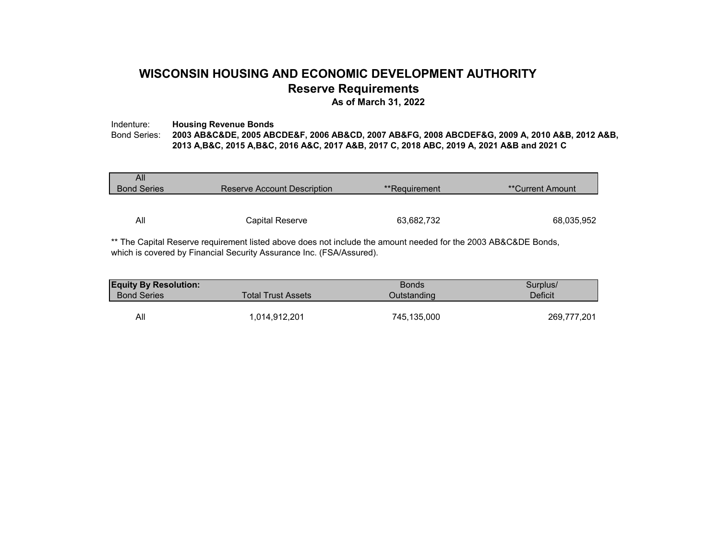## **WISCONSIN HOUSING AND ECONOMIC DEVELOPMENT AUTHORITY Reserve Requirements**

**As of March 31, 2022**

### Indenture: **Housing Revenue Bonds**<br>Bond Series: **2003 AB&C&DE, 2005 AB** Bond Series: **2003 AB&C&DE, 2005 ABCDE&F, 2006 AB&CD, 2007 AB&FG, 2008 ABCDEF&G, 2009 A, 2010 A&B, 2012 A&B, 2013 A,B&C, 2015 A,B&C, 2016 A&C, 2017 A&B, 2017 C, 2018 ABC, 2019 A, 2021 A&B and 2021 C**

| All                |                             |               |                          |
|--------------------|-----------------------------|---------------|--------------------------|
| <b>Bond Series</b> | Reserve Account Description | **Requirement | <i>**</i> Current Amount |
|                    |                             |               |                          |
|                    |                             |               |                          |
| All                | Capital Reserve             | 63,682,732    | 68,035,952               |
|                    |                             |               |                          |

\*\* The Capital Reserve requirement listed above does not include the amount needed for the 2003 AB&C&DE Bonds, which is covered by Financial Security Assurance Inc. (FSA/Assured).

| <b>Equity By Resolution:</b> |                    | <b>Bonds</b> | Surplus/    |
|------------------------------|--------------------|--------------|-------------|
| <b>Bond Series</b>           | Total Trust Assets | Outstanding  | Deficit     |
|                              |                    |              |             |
| All                          | ,014,912,201       | 745,135,000  | 269,777,201 |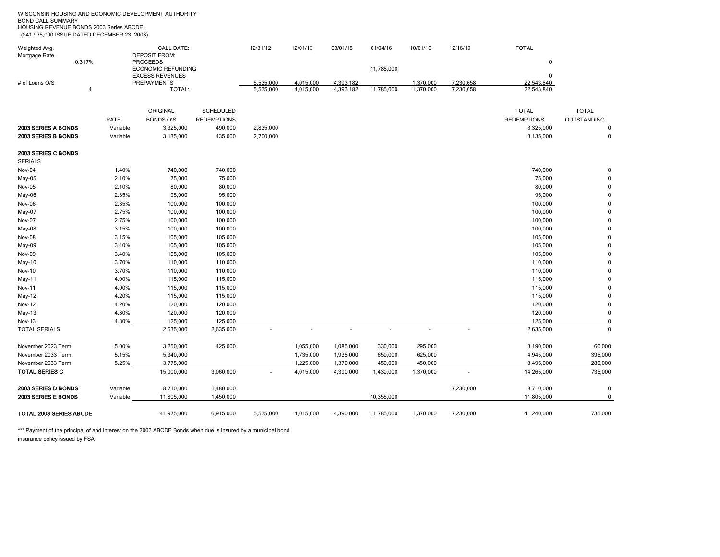| HOUSING REVENUE BONDS 2003 Series ABCDE<br>(\$41,975,000 ISSUE DATED DECEMBER 23, 2003) |          |                                              |                    |           |           |           |            |           |           |                    |                    |
|-----------------------------------------------------------------------------------------|----------|----------------------------------------------|--------------------|-----------|-----------|-----------|------------|-----------|-----------|--------------------|--------------------|
| Weighted Avg.                                                                           |          | <b>CALL DATE:</b>                            |                    | 12/31/12  | 12/01/13  | 03/01/15  | 01/04/16   | 10/01/16  | 12/16/19  | <b>TOTAL</b>       |                    |
| Mortgage Rate                                                                           |          | <b>DEPOSIT FROM:</b>                         |                    |           |           |           |            |           |           |                    |                    |
| 0.317%                                                                                  |          | <b>PROCEEDS</b><br><b>ECONOMIC REFUNDING</b> |                    |           |           |           | 11,785,000 |           |           | $\bf{0}$           |                    |
|                                                                                         |          | <b>EXCESS REVENUES</b>                       |                    |           |           |           |            |           |           | $\Omega$           |                    |
| # of Loans O/S                                                                          |          | <b>PREPAYMENTS</b>                           |                    | 5,535,000 | 4,015,000 | 4,393,182 |            | 1,370,000 | 7,230,658 | 22,543,840         |                    |
| $\overline{4}$                                                                          |          | TOTAL:                                       |                    | 5,535,000 | 4,015,000 | 4,393,182 | 11,785,000 | 1,370,000 | 7,230,658 | 22,543,840         |                    |
|                                                                                         |          | ORIGINAL                                     | <b>SCHEDULED</b>   |           |           |           |            |           |           | <b>TOTAL</b>       | <b>TOTAL</b>       |
|                                                                                         | RATE     | <b>BONDS O\S</b>                             | <b>REDEMPTIONS</b> |           |           |           |            |           |           | <b>REDEMPTIONS</b> | <b>OUTSTANDING</b> |
| 2003 SERIES A BONDS                                                                     | Variable | 3,325,000                                    | 490,000            | 2,835,000 |           |           |            |           |           | 3,325,000          | $\mathbf 0$        |
| 2003 SERIES B BONDS                                                                     | Variable | 3,135,000                                    | 435,000            | 2,700,000 |           |           |            |           |           | 3,135,000          | 0                  |
| 2003 SERIES C BONDS                                                                     |          |                                              |                    |           |           |           |            |           |           |                    |                    |
| <b>SERIALS</b>                                                                          |          |                                              |                    |           |           |           |            |           |           |                    |                    |
| Nov-04                                                                                  | 1.40%    | 740,000                                      | 740,000            |           |           |           |            |           |           | 740,000            | $\mathbf 0$        |
| May-05                                                                                  | 2.10%    | 75,000                                       | 75,000             |           |           |           |            |           |           | 75,000             |                    |
| Nov-05                                                                                  | 2.10%    | 80,000                                       | 80,000             |           |           |           |            |           |           | 80,000             | $\Omega$           |
| May-06                                                                                  | 2.35%    | 95,000                                       | 95,000             |           |           |           |            |           |           | 95,000             |                    |
| Nov-06                                                                                  | 2.35%    | 100,000                                      | 100,000            |           |           |           |            |           |           | 100,000            |                    |
| May-07                                                                                  | 2.75%    | 100,000                                      | 100,000            |           |           |           |            |           |           | 100,000            |                    |
| Nov-07                                                                                  | 2.75%    | 100,000                                      | 100,000            |           |           |           |            |           |           | 100,000            |                    |
| May-08                                                                                  | 3.15%    | 100,000                                      | 100,000            |           |           |           |            |           |           | 100,000            |                    |
| Nov-08                                                                                  | 3.15%    | 105,000                                      | 105,000            |           |           |           |            |           |           | 105,000            |                    |
| May-09                                                                                  | 3.40%    | 105,000                                      | 105,000            |           |           |           |            |           |           | 105,000            |                    |
| Nov-09                                                                                  | 3.40%    | 105,000                                      | 105,000            |           |           |           |            |           |           | 105,000            |                    |
| May-10                                                                                  | 3.70%    | 110,000                                      | 110,000            |           |           |           |            |           |           | 110,000            |                    |
| <b>Nov-10</b>                                                                           | 3.70%    | 110,000                                      | 110,000            |           |           |           |            |           |           | 110,000            |                    |
| May-11                                                                                  | 4.00%    | 115,000                                      | 115,000            |           |           |           |            |           |           | 115,000            |                    |
| Nov-11                                                                                  | 4.00%    | 115,000                                      | 115,000            |           |           |           |            |           |           | 115,000            |                    |
| May-12                                                                                  | 4.20%    | 115,000                                      | 115,000            |           |           |           |            |           |           | 115,000            |                    |
| Nov-12                                                                                  | 4.20%    | 120,000                                      | 120,000            |           |           |           |            |           |           | 120,000            | 0                  |
| May-13                                                                                  | 4.30%    | 120,000                                      | 120,000            |           |           |           |            |           |           | 120,000            | $\mathbf 0$        |
| Nov-13                                                                                  | 4.30%    | 125,000                                      | 125,000            |           |           |           |            |           |           | 125,000            | 0                  |
| <b>TOTAL SERIALS</b>                                                                    |          | 2,635,000                                    | 2,635,000          |           | ٠         | ä,        |            | $\sim$    | ٠         | 2,635,000          | $\mathbf 0$        |
| November 2023 Term                                                                      | 5.00%    | 3,250,000                                    | 425,000            |           | 1,055,000 | 1,085,000 | 330,000    | 295,000   |           | 3,190,000          | 60,000             |
| November 2033 Term                                                                      | 5.15%    | 5,340,000                                    |                    |           | 1,735,000 | 1,935,000 | 650,000    | 625,000   |           | 4,945,000          | 395,000            |
| November 2033 Term                                                                      | 5.25%    | 3,775,000                                    |                    |           | 1,225,000 | 1,370,000 | 450,000    | 450,000   |           | 3,495,000          | 280,000            |
| <b>TOTAL SERIES C</b>                                                                   |          | 15,000,000                                   | 3,060,000          |           | 4,015,000 | 4,390,000 | 1,430,000  | 1,370,000 | ÷,        | 14,265,000         | 735,000            |
| 2003 SERIES D BONDS                                                                     | Variable | 8,710,000                                    | 1,480,000          |           |           |           |            |           | 7,230,000 | 8,710,000          | $\pmb{0}$          |
| 2003 SERIES E BONDS                                                                     | Variable | 11,805,000                                   | 1,450,000          |           |           |           | 10,355,000 |           |           | 11,805,000         | $\mathbf 0$        |
| <b>TOTAL 2003 SERIES ABCDE</b>                                                          |          | 41,975,000                                   | 6,915,000          | 5,535,000 | 4,015,000 | 4,390,000 | 11,785,000 | 1,370,000 | 7,230,000 | 41,240,000         | 735,000            |

\*\*\* Payment of the principal of and interest on the 2003 ABCDE Bonds when due is insured by a municipal bond insurance policy issued by FSA

WISCONSIN HOUSING AND ECONOMIC DEVELOPMENT AUTHORITY BOND CALL SUMMARY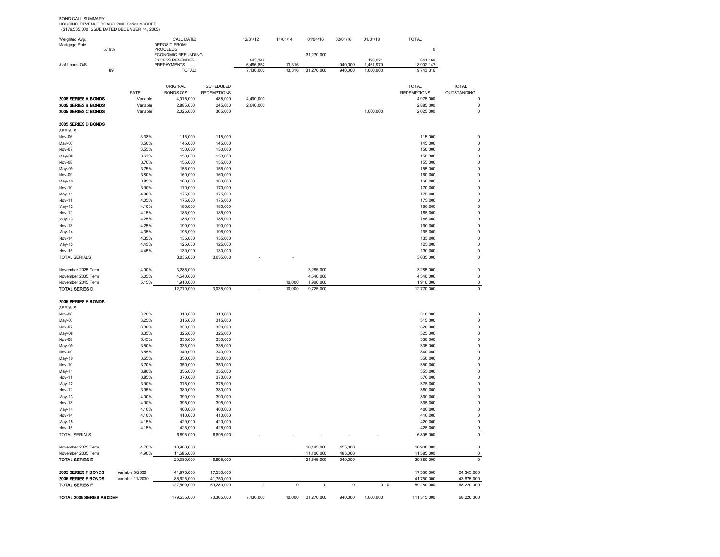BOND CALL SUMMARY HOUSING REVENUE BONDS 2005 Series ABCDEF (\$179,535,000 ISSUE DATED DECEMBER 14, 2005)

| Weighted Avg.            |                  | CALL DATE:                            |                    | 12/31/12  | 11/01/14 | 01/04/16   | 02/01/16    | 01/01/18       | <b>TOTAL</b>       |                |
|--------------------------|------------------|---------------------------------------|--------------------|-----------|----------|------------|-------------|----------------|--------------------|----------------|
| Mortgage Rate<br>5.19%   |                  | <b>DEPOSIT FROM:</b>                  |                    |           |          |            |             |                | 0                  |                |
|                          |                  | <b>PROCEEDS</b><br>ECONOMIC REFUNDING |                    |           |          | 31,270,000 |             |                |                    |                |
|                          |                  | <b>EXCESS REVENUES</b>                |                    | 643,148   |          |            |             | 198,021        | 841,169            |                |
| # of Loans O/S           | 89               | PREPAYMENTS<br>TOTAL:                 |                    | 6,486,852 | 13,316   |            | 940,000     | 1,461,979      | 8,902,147          |                |
|                          |                  |                                       |                    | 7,130,000 | 13,316   | 31,270,000 | 940,000     | 1,660,000      | 9,743,316          |                |
|                          |                  |                                       |                    |           |          |            |             |                |                    |                |
|                          |                  | ORIGINAL                              | <b>SCHEDULED</b>   |           |          |            |             |                | <b>TOTAL</b>       | <b>TOTAL</b>   |
|                          | RATE             | <b>BONDS O\S</b>                      | <b>REDEMPTIONS</b> |           |          |            |             |                | <b>REDEMPTIONS</b> | OUTSTANDING    |
| 2005 SERIES A BONDS      | Variable         | 4,975,000                             | 485,000            | 4,490,000 |          |            |             |                | 4,975,000          | $\mathbf{C}$   |
| 2005 SERIES B BONDS      | Variable         | 2,885,000                             | 245,000            | 2,640,000 |          |            |             |                | 2,885,000          | $\mathbf 0$    |
| 2005 SERIES C BONDS      | Variable         | 2,025,000                             | 365,000            |           |          |            |             | 1,660,000      | 2,025,000          | $\mathbf 0$    |
| 2005 SERIES D BONDS      |                  |                                       |                    |           |          |            |             |                |                    |                |
| <b>SERIALS</b>           |                  |                                       |                    |           |          |            |             |                |                    |                |
| Nov-06                   | 3.38%            | 115,000                               | 115,000            |           |          |            |             |                | 115,000            | $\pmb{0}$      |
| May-07                   | 3.50%            | 145,000                               | 145,000            |           |          |            |             |                | 145,000            | $\pmb{0}$      |
| Nov-07                   | 3.55%            | 150,000                               | 150,000            |           |          |            |             |                | 150,000            | $\mathbf 0$    |
| May-08                   | 3.63%            | 150,000                               | 150,000            |           |          |            |             |                | 150,000            | 0              |
| Nov-08                   | 3.70%            | 155,000                               | 155,000            |           |          |            |             |                | 155,000            | 0              |
| May-09                   | 3.75%            | 155,000                               | 155,000            |           |          |            |             |                | 155,000            | $\pmb{0}$      |
| Nov-09                   | 3.80%            | 160,000                               | 160,000            |           |          |            |             |                | 160,000            | $\pmb{0}$      |
| <b>May-10</b>            | 3.85%            | 160,000                               | 160,000            |           |          |            |             |                | 160,000            | 0              |
| <b>Nov-10</b>            | 3.90%            | 170,000                               | 170,000            |           |          |            |             |                | 170,000            | 0              |
| May-11                   | 4.00%            | 175,000                               | 175,000            |           |          |            |             |                | 175,000            | $\pmb{0}$      |
| Nov-11                   | 4.05%            | 175,000                               | 175,000            |           |          |            |             |                | 175,000            | $\mathbf 0$    |
| <b>May-12</b>            | 4.10%            | 180,000                               | 180,000            |           |          |            |             |                | 180,000            | 0              |
| Nov-12                   | 4.15%            | 185,000                               | 185,000            |           |          |            |             |                | 185,000            | 0              |
| May-13                   | 4.25%            | 185,000                               | 185,000            |           |          |            |             |                | 185,000            | $\mathbf 0$    |
| Nov-13                   | 4.25%            | 190,000                               | 190,000            |           |          |            |             |                | 190,000            | $\pmb{0}$      |
| May-14                   | 4.35%            | 195,000                               | 195,000            |           |          |            |             |                | 195,000            | $\pmb{0}$      |
| Nov-14                   | 4.35%            | 135,000                               | 135,000            |           |          |            |             |                | 135,000            | $\pmb{0}$      |
| May-15                   | 4.45%            | 125,000                               | 125,000            |           |          |            |             |                | 125,000            | $\pmb{0}$      |
| Nov-15                   | 4.45%            | 130,000                               | 130,000            |           |          |            |             |                | 130,000            | 0              |
| <b>TOTAL SERIALS</b>     |                  | 3,035,000                             | 3,035,000          |           | ×        |            |             |                | 3,035,000          | $\pmb{0}$      |
|                          |                  |                                       |                    |           |          |            |             |                |                    |                |
| November 2025 Term       | 4.90%            | 3,285,000                             |                    |           |          | 3,285,000  |             |                | 3,285,000          | $\pmb{0}$      |
| November 2035 Term       | 5.05%            | 4,540,000                             |                    |           |          | 4,540,000  |             |                | 4,540,000          | $\pmb{0}$      |
| November 2045 Term       | 5.15%            | 1,910,000                             |                    |           | 10,000   | 1,900,000  |             |                | 1,910,000          | $\mathbf 0$    |
| TOTAL SERIES D           |                  | 12,770,000                            | 3,035,000          |           | 10,000   | 9,725,000  |             |                | 12,770,000         | $\pmb{0}$      |
|                          |                  |                                       |                    |           |          |            |             |                |                    |                |
| 2005 SERIES E BONDS      |                  |                                       |                    |           |          |            |             |                |                    |                |
| <b>SERIALS</b>           |                  |                                       |                    |           |          |            |             |                |                    |                |
| Nov-06                   | 3.20%            | 310,000                               | 310,000            |           |          |            |             |                | 310,000            | $\pmb{0}$      |
| May-07                   | 3.25%            | 315,000                               | 315,000            |           |          |            |             |                | 315,000            | $\pmb{0}$      |
| Nov-07                   | 3.30%            | 320,000                               | 320,000            |           |          |            |             |                | 320,000            | 0              |
| May-08                   | 3.35%            | 325,000                               | 325,000            |           |          |            |             |                | 325,000            | 0              |
| Nov-08                   | 3.45%            | 330,000                               | 330,000            |           |          |            |             |                | 330,000            | 0              |
| May-09                   | 3.50%            | 335,000                               | 335,000            |           |          |            |             |                | 335,000            | 0              |
| Nov-09                   | 3.55%            | 340,000                               | 340,000            |           |          |            |             |                | 340,000            | 0              |
| May-10                   | 3.65%            | 350,000                               | 350,000            |           |          |            |             |                | 350,000            | 0              |
| <b>Nov-10</b>            | 3.70%            | 350,000                               | 350,000            |           |          |            |             |                | 350,000            | 0              |
| May-11                   | 3.80%            | 355,000                               | 355,000            |           |          |            |             |                | 355,000            | $\mathbf 0$    |
| <b>Nov-11</b>            | 3.85%            | 370,000                               | 370,000            |           |          |            |             |                | 370,000            | 0              |
| May-12                   | 3.90%            | 375,000                               | 375,000            |           |          |            |             |                | 375,000            | $\overline{0}$ |
| Nov-12                   | 3.95%            | 380,000                               | 380,000            |           |          |            |             |                | 380,000            | $\overline{0}$ |
| May-13                   | 4.00%            | 390,000                               | 390,000            |           |          |            |             |                | 390,000            | $\mathbf 0$    |
| Nov-13                   | 4.00%            | 395,000                               | 395,000            |           |          |            |             |                | 395,000            | $\mathbf 0$    |
| May-14                   | 4.10%            | 400,000                               | 400,000            |           |          |            |             |                | 400,000            | $\mathbf 0$    |
| <b>Nov-14</b>            | 4.10%            | 410,000                               | 410,000            |           |          |            |             |                | 410,000            | $\pmb{0}$      |
| May-15                   | 4.15%            | 420,000                               | 420,000            |           |          |            |             |                | 420,000            | $\pmb{0}$      |
| <b>Nov-15</b>            | 4.15%            | 425,000                               | 425,000            |           |          |            |             |                | 425,000            | $\mathbf 0$    |
| <b>TOTAL SERIALS</b>     |                  | 6,895,000                             | 6,895,000          |           | ×,       | ÷,         | ÷,          |                | 6,895,000          | $\mathsf 0$    |
|                          |                  |                                       |                    |           |          |            |             |                |                    |                |
| November 2025 Term       | 4.70%            | 10,900,000                            |                    |           |          | 10,445,000 | 455,000     |                | 10,900,000         | $\mathbf 0$    |
| November 2035 Term       |                  | 11,585,000                            |                    |           |          | 11,100,000 | 485,000     |                | 11,585,000         | $\mathsf 0$    |
| <b>TOTAL SERIES E</b>    | 4.90%            | 29,380,000                            | 6,895,000          | ×,        |          | 21,545,000 | 940,000     | J.             | 29,380,000         | $\pmb{0}$      |
|                          |                  |                                       |                    |           |          |            |             |                |                    |                |
| 2005 SERIES F BONDS      | Variable 5/2030  | 41.875.000                            | 17,530,000         |           |          |            |             |                | 17,530,000         | 24,345,000     |
| 2005 SERIES F BONDS      | Variable 11/2030 | 85,625,000                            | 41,750,000         |           |          |            |             |                | 41,750,000         | 43,875,000     |
| TOTAL SERIES F           |                  | 127,500,000                           | 59,280,000         | 0         | 0        | 0          | $\mathbf 0$ | 0 <sub>0</sub> | 59,280,000         | 68,220,000     |
|                          |                  |                                       |                    |           |          |            |             |                |                    |                |
| TOTAL 2005 SERIES ABCDEF |                  | 179,535,000                           | 70,305,000         | 7,130,000 | 10,000   | 31,270,000 | 940,000     | 1,660,000      | 111,315,000        | 68,220,000     |
|                          |                  |                                       |                    |           |          |            |             |                |                    |                |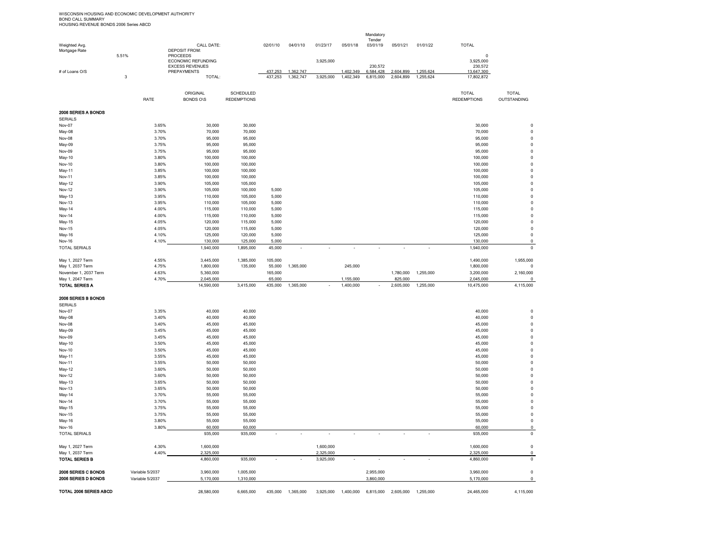WISCONSIN HOUSING AND ECONOMIC DEVELOPMENT AUTHORITY<br>BOND CALL SUMMARY<br>HOUSING REVENUE BONDS 2006 Series ABCD

| Weighted Avg.                             |                |                 | CALL DATE:                                                    |                    | 02/01/10          | 04/01/10  | 01/23/17  | 05/01/18  | Mandatory<br>Tender<br>03/01/19 | 05/01/21             | 01/01/22  | <b>TOTAL</b>          |                          |
|-------------------------------------------|----------------|-----------------|---------------------------------------------------------------|--------------------|-------------------|-----------|-----------|-----------|---------------------------------|----------------------|-----------|-----------------------|--------------------------|
| Mortgage Rate                             | 5.51%          |                 | <b>DEPOSIT FROM:</b><br><b>PROCEEDS</b><br>ECONOMIC REFUNDING |                    |                   |           | 3,925,000 |           |                                 |                      |           | 0<br>3,925,000        |                          |
| # of Loans O/S                            |                |                 | <b>EXCESS REVENUES</b><br>PREPAYMENTS                         |                    | 437,253           | 1,362,747 |           | 1,402,349 | 230,572<br>6,584,428            | 2,604,899            | 1,255,624 | 230,572<br>13,647,300 |                          |
|                                           | $\overline{3}$ |                 | TOTAL:                                                        |                    | 437.253           | 1,362,747 | 3.925.000 | 1.402.349 | 6,815,000                       | 2.604.899            | 1.255.624 | 17,802,872            |                          |
|                                           |                |                 | ORIGINAL                                                      | SCHEDULED          |                   |           |           |           |                                 |                      |           | <b>TOTAL</b>          | <b>TOTAL</b>             |
|                                           |                | RATE            | <b>BONDS O\S</b>                                              | <b>REDEMPTIONS</b> |                   |           |           |           |                                 |                      |           | <b>REDEMPTIONS</b>    | <b>OUTSTANDING</b>       |
| 2006 SERIES A BONDS<br><b>SERIALS</b>     |                |                 |                                                               |                    |                   |           |           |           |                                 |                      |           |                       |                          |
| Nov-07                                    |                | 3.65%           | 30,000                                                        | 30,000             |                   |           |           |           |                                 |                      |           | 30,000                | $\mathsf 0$              |
| May-08                                    |                | 3.70%           | 70,000                                                        | 70,000             |                   |           |           |           |                                 |                      |           | 70,000                | $\pmb{0}$                |
| Nov-08                                    |                | 3.70%           | 95,000                                                        | 95,000             |                   |           |           |           |                                 |                      |           | 95,000                | 0                        |
| May-09                                    |                | 3.75%           | 95,000                                                        | 95,000             |                   |           |           |           |                                 |                      |           | 95,000                | 0                        |
| Nov-09                                    |                | 3.75%           | 95,000                                                        | 95,000             |                   |           |           |           |                                 |                      |           | 95,000                | 0                        |
| May-10                                    |                | 3.80%           | 100,000                                                       | 100,000            |                   |           |           |           |                                 |                      |           | 100,000               | $\pmb{0}$                |
| <b>Nov-10</b>                             |                | 3.80%<br>3.85%  | 100,000<br>100,000                                            | 100,000<br>100,000 |                   |           |           |           |                                 |                      |           | 100,000<br>100,000    | $\pmb{0}$<br>$\pmb{0}$   |
| May-11<br>Nov-11                          |                | 3.85%           | 100,000                                                       | 100,000            |                   |           |           |           |                                 |                      |           | 100,000               | $\mathsf 0$              |
| May-12                                    |                | 3.90%           | 105,000                                                       | 105,000            |                   |           |           |           |                                 |                      |           | 105,000               | $\pmb{0}$                |
| <b>Nov-12</b>                             |                | 3.90%           | 105,000                                                       | 100,000            | 5,000             |           |           |           |                                 |                      |           | 105,000               | $\pmb{0}$                |
| May-13                                    |                | 3.95%           | 110,000                                                       | 105,000            | 5,000             |           |           |           |                                 |                      |           | 110,000               | $\pmb{0}$                |
| Nov-13                                    |                | 3.95%           | 110,000                                                       | 105,000            | 5,000             |           |           |           |                                 |                      |           | 110,000               | $\pmb{0}$                |
| May-14                                    |                | 4.00%           | 115,000                                                       | 110,000            | 5,000             |           |           |           |                                 |                      |           | 115,000               | $\pmb{0}$                |
| Nov-14                                    |                | 4.00%           | 115,000                                                       | 110,000            | 5,000             |           |           |           |                                 |                      |           | 115,000               | $\pmb{0}$                |
| May-15                                    |                | 4.05%           | 120,000                                                       | 115,000            | 5,000             |           |           |           |                                 |                      |           | 120,000               | $\pmb{0}$                |
| Nov-15                                    |                | 4.05%           | 120,000                                                       | 115,000            | 5,000             |           |           |           |                                 |                      |           | 120,000               | $\pmb{0}$                |
| May-16                                    |                | 4.10%           | 125,000<br>130,000                                            | 120,000<br>125,000 | 5,000<br>5,000    |           |           |           |                                 |                      |           | 125,000<br>130,000    | $\pmb{0}$<br>$\pmb{0}$   |
| <b>Nov-16</b><br><b>TOTAL SERIALS</b>     |                | 4.10%           | 1,940,000                                                     | 1,895,000          | 45,000            |           |           |           |                                 |                      |           | 1,940,000             | $\mathsf 0$              |
|                                           |                |                 |                                                               |                    |                   |           |           |           |                                 |                      |           |                       |                          |
| May 1, 2027 Term                          |                | 4.55%           | 3,445,000                                                     | 1,385,000          | 105,000           |           |           |           |                                 |                      |           | 1,490,000             | 1,955,000                |
| May 1, 2037 Term                          |                | 4.75%           | 1,800,000                                                     | 135,000            | 55,000            | 1,365,000 |           | 245,000   |                                 |                      |           | 1,800,000             | $\mathbf 0$              |
| November 1, 2037 Term                     |                | 4.63%           | 5,360,000                                                     |                    | 165,000           |           |           |           |                                 | 1,780,000            | 1,255,000 | 3,200,000             | 2,160,000                |
| May 1, 2047 Term<br><b>TOTAL SERIES A</b> |                | 4.70%           | 2,045,000                                                     | 3,415,000          | 65,000<br>435,000 | 1,365,000 |           | 1,155,000 |                                 | 825,000<br>2,605,000 | 1,255,000 | 2,045,000             | $\mathbf 0$<br>4,115,000 |
|                                           |                |                 | 14,590,000                                                    |                    |                   |           |           | 1,400,000 |                                 |                      |           | 10,475,000            |                          |
| 2006 SERIES B BONDS                       |                |                 |                                                               |                    |                   |           |           |           |                                 |                      |           |                       |                          |
| <b>SERIALS</b>                            |                |                 |                                                               |                    |                   |           |           |           |                                 |                      |           |                       |                          |
| Nov-07                                    |                | 3.35%           | 40,000                                                        | 40,000             |                   |           |           |           |                                 |                      |           | 40,000                | 0                        |
| May-08                                    |                | 3.40%           | 40,000                                                        | 40,000             |                   |           |           |           |                                 |                      |           | 40,000                | $\pmb{0}$                |
| Nov-08                                    |                | 3.40%           | 45,000                                                        | 45,000             |                   |           |           |           |                                 |                      |           | 45,000                | $\pmb{0}$                |
| May-09                                    |                | 3.45%<br>3.45%  | 45,000<br>45,000                                              | 45,000             |                   |           |           |           |                                 |                      |           | 45,000<br>45,000      | $\pmb{0}$<br>$\pmb{0}$   |
| Nov-09<br>May-10                          |                | 3.50%           | 45,000                                                        | 45,000<br>45,000   |                   |           |           |           |                                 |                      |           | 45,000                | $\pmb{0}$                |
| <b>Nov-10</b>                             |                | 3.50%           | 45,000                                                        | 45,000             |                   |           |           |           |                                 |                      |           | 45,000                | 0                        |
| May-11                                    |                | 3.55%           | 45,000                                                        | 45,000             |                   |           |           |           |                                 |                      |           | 45,000                | $\pmb{0}$                |
| <b>Nov-11</b>                             |                | 3.55%           | 50,000                                                        | 50,000             |                   |           |           |           |                                 |                      |           | 50,000                | $\pmb{0}$                |
| May-12                                    |                | 3.60%           | 50,000                                                        | 50,000             |                   |           |           |           |                                 |                      |           | 50,000                | $\pmb{0}$                |
| <b>Nov-12</b>                             |                | 3.60%           | 50,000                                                        | 50,000             |                   |           |           |           |                                 |                      |           | 50,000                | 0                        |
| May-13                                    |                | 3.65%           | 50,000                                                        | 50,000             |                   |           |           |           |                                 |                      |           | 50,000                | $\pmb{0}$                |
| Nov-13                                    |                | 3.65%           | 50,000                                                        | 50,000             |                   |           |           |           |                                 |                      |           | 50,000                | $\pmb{0}$                |
| May-14                                    |                | 3.70%           | 55,000                                                        | 55,000             |                   |           |           |           |                                 |                      |           | 55,000                | $\pmb{0}$<br>$\pmb{0}$   |
| Nov-14<br>May-15                          |                | 3.70%<br>3.75%  | 55,000<br>55,000                                              | 55,000<br>55,000   |                   |           |           |           |                                 |                      |           | 55,000<br>55,000      | $\pmb{0}$                |
| <b>Nov-15</b>                             |                | 3.75%           | 55,000                                                        | 55,000             |                   |           |           |           |                                 |                      |           | 55,000                | $\pmb{0}$                |
| May-16                                    |                | 3.80%           | 55,000                                                        | 55,000             |                   |           |           |           |                                 |                      |           | 55,000                | $\pmb{0}$                |
| Nov-16                                    |                | 3.80%           | 60,000                                                        | 60,000             |                   |           |           |           |                                 |                      |           | 60,000                | $\mathsf 0$              |
| <b>TOTAL SERIALS</b>                      |                |                 | 935,000                                                       | 935,000            |                   |           |           |           |                                 |                      |           | 935,000               | $\pmb{0}$                |
| May 1, 2027 Term                          |                | 4.30%           | 1,600,000                                                     |                    |                   |           | 1,600,000 |           |                                 |                      |           | 1,600,000             | $\pmb{0}$                |
| May 1, 2037 Term                          |                | 4.40%           | 2,325,000                                                     |                    |                   |           | 2,325,000 |           |                                 |                      |           | 2,325,000             | $\mathsf 0$              |
| <b>TOTAL SERIES B</b>                     |                |                 | 4,860,000                                                     | 935,000            |                   |           | 3,925,000 |           | ä,                              |                      |           | 4,860,000             | $\pmb{0}$                |
|                                           |                |                 |                                                               |                    |                   |           |           |           |                                 |                      |           |                       |                          |
| 2006 SERIES C BONDS                       |                | Variable 5/2037 | 3,960,000                                                     | 1,005,000          |                   |           |           |           | 2,955,000                       |                      |           | 3,960,000             | 0                        |
| 2006 SERIES D BONDS                       |                | Variable 5/2037 | 5,170,000                                                     | 1,310,000          |                   |           |           |           | 3,860,000                       |                      |           | 5,170,000             | $\mathsf 0$              |
|                                           |                |                 |                                                               |                    |                   |           |           |           |                                 |                      |           |                       |                          |

TOTAL 2006 SERIES ABCD 28,580,000 6,665,000 435,000 1,365,000 3,925,000 1,400,000 6,815,000 2,605,000 1,255,000 24,465,000 4,115,000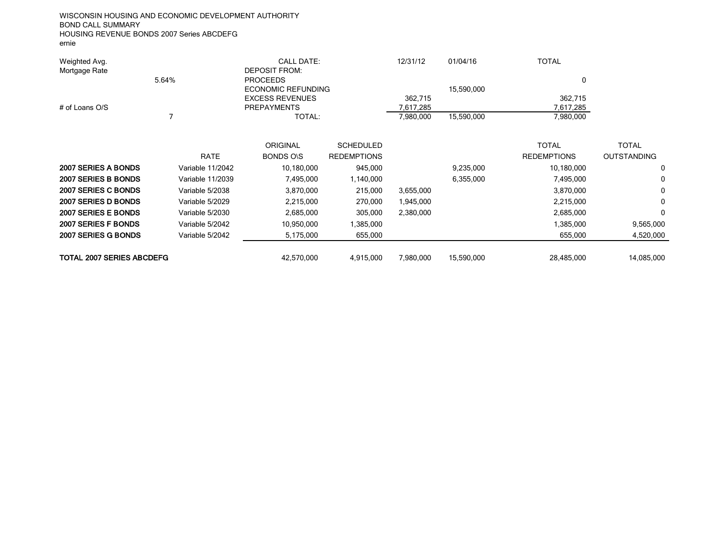WISCONSIN HOUSING AND ECONOMIC DEVELOPMENT AUTHORITY BOND CALL SUMMARY HOUSING REVENUE BONDS 2007 Series ABCDEFG ernie

| Weighted Avg.<br>Mortgage Rate             | 5.64%                                               | CALL DATE:<br><b>DEPOSIT FROM:</b><br><b>PROCEEDS</b><br><b>ECONOMIC REFUNDING</b> |                                                                | 12/31/12                          | 01/04/16<br>15.590.000 | <b>TOTAL</b><br>0                                             |                                              |  |
|--------------------------------------------|-----------------------------------------------------|------------------------------------------------------------------------------------|----------------------------------------------------------------|-----------------------------------|------------------------|---------------------------------------------------------------|----------------------------------------------|--|
| # of Loans O/S                             |                                                     | <b>EXCESS REVENUES</b><br><b>PREPAYMENTS</b><br>TOTAL:                             |                                                                | 362.715<br>7.617.285<br>7,980,000 | 15,590,000             | 362.715<br>7,617,285<br>7,980,000                             |                                              |  |
| 2007 SERIES A BONDS<br>2007 SERIES B BONDS | <b>RATE</b><br>Variable 11/2042<br>Variable 11/2039 | ORIGINAL<br><b>BONDS ONS</b><br>10,180,000<br>7,495,000                            | <b>SCHEDULED</b><br><b>REDEMPTIONS</b><br>945,000<br>1,140,000 |                                   | 9,235,000<br>6,355,000 | <b>TOTAL</b><br><b>REDEMPTIONS</b><br>10,180,000<br>7,495,000 | <b>TOTAL</b><br><b>OUTSTANDING</b><br>0<br>0 |  |

| 2007 SERIES B BONDS              | Variable 11/2039 | 7.495.000  | .140.000  |           | 6.355.000  | 7.495.000  | 0          |
|----------------------------------|------------------|------------|-----------|-----------|------------|------------|------------|
| 2007 SERIES C BONDS              | Variable 5/2038  | 3,870,000  | 215.000   | 3,655,000 |            | 3,870,000  | 0          |
| 2007 SERIES D BONDS              | Variable 5/2029  | 2,215,000  | 270.000   | 945,000.  |            | 2,215,000  |            |
| 2007 SERIES E BONDS              | Variable 5/2030  | 2,685,000  | 305.000   | 2,380,000 |            | 2,685,000  |            |
| 2007 SERIES F BONDS              | Variable 5/2042  | 10,950,000 | ,385,000  |           |            | 1,385,000  | 9.565.000  |
| <b>2007 SERIES G BONDS</b>       | Variable 5/2042  | 5.175.000  | 655.000   |           |            | 655.000    | 4,520,000  |
|                                  |                  |            |           |           |            |            |            |
| <b>TOTAL 2007 SERIES ABCDEFG</b> |                  | 42.570.000 | 4.915.000 | 7,980,000 | 15.590.000 | 28.485.000 | 14.085.000 |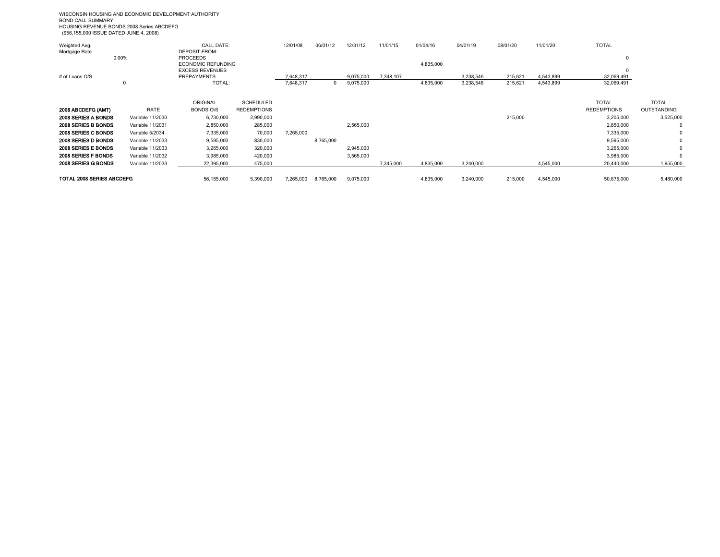WISCONSIN HOUSING AND ECONOMIC DEVELOPMENT AUTHORITY BOND CALL SUMMARY HOUSING REVENUE BONDS 2008 Series ABCDEFG (\$56,155,000 ISSUE DATED JUNE 4, 2008)

| Weighted Avg.             |                  | <b>CALL DATE:</b>         |                    | 12/01/08  | 06/01/12  | 12/31/12  | 11/01/15  | 01/04/16  | 04/01/19  | 08/01/20 | 11/01/20  | <b>TOTAL</b>       |              |
|---------------------------|------------------|---------------------------|--------------------|-----------|-----------|-----------|-----------|-----------|-----------|----------|-----------|--------------------|--------------|
| Mortgage Rate             |                  | <b>DEPOSIT FROM:</b>      |                    |           |           |           |           |           |           |          |           |                    |              |
|                           | 0.00%            | <b>PROCEEDS</b>           |                    |           |           |           |           |           |           |          |           |                    |              |
|                           |                  | <b>ECONOMIC REFUNDING</b> |                    |           |           |           |           | 4,835,000 |           |          |           |                    |              |
|                           |                  | <b>EXCESS REVENUES</b>    |                    |           |           |           |           |           |           |          |           |                    |              |
| # of Loans O/S            |                  | <b>PREPAYMENTS</b>        |                    | 7.648.317 |           | 9.075.000 | 7.348.107 |           | 3,238,546 | 215.621  | 4.543.899 | 32,069,491         |              |
|                           |                  | TOTAL:                    |                    | 7,648,317 | 0         | 9,075,000 |           | 4,835,000 | 3,238,546 | 215,621  | 4,543,899 | 32,069,491         |              |
|                           |                  |                           |                    |           |           |           |           |           |           |          |           |                    |              |
|                           |                  | <b>ORIGINAL</b>           | <b>SCHEDULED</b>   |           |           |           |           |           |           |          |           | <b>TOTAL</b>       | <b>TOTAL</b> |
| 2008 ABCDEFG (AMT)        | RATE             | <b>BONDS OIS</b>          | <b>REDEMPTIONS</b> |           |           |           |           |           |           |          |           | <b>REDEMPTIONS</b> | OUTSTANDING  |
| 2008 SERIES A BONDS       | Variable 11/2030 | 6,730,000                 | 2,990,000          |           |           |           |           |           |           | 215,000  |           | 3,205,000          | 3,525,000    |
| 2008 SERIES B BONDS       | Variable 11/2031 | 2,850,000                 | 285,000            |           |           | 2,565,000 |           |           |           |          |           | 2,850,000          | 0            |
| 2008 SERIES C BONDS       | Variable 5/2034  | 7,335,000                 | 70,000             | 7,265,000 |           |           |           |           |           |          |           | 7,335,000          | 0            |
| 2008 SERIES D BONDS       | Variable 11/2033 | 9,595,000                 | 830,000            |           | 8,765,000 |           |           |           |           |          |           | 9,595,000          | 0            |
| 2008 SERIES E BONDS       | Variable 11/2033 | 3,265,000                 | 320,000            |           |           | 2,945,000 |           |           |           |          |           | 3,265,000          | 0            |
| 2008 SERIES F BONDS       | Variable 11/2032 | 3,985,000                 | 420,000            |           |           | 3,565,000 |           |           |           |          |           | 3,985,000          | $\Omega$     |
| 2008 SERIES G BONDS       | Variable 11/2033 | 22,395,000                | 475,000            |           |           |           | 7,345,000 | 4,835,000 | 3,240,000 |          | 4,545,000 | 20,440,000         | 1,955,000    |
| TOTAL 2008 SERIES ABCDEFG |                  | 56,155,000                | 5,390,000          | 7,265,000 | 8,765,000 | 9,075,000 |           | 4,835,000 | 3,240,000 | 215,000  | 4,545,000 | 50,675,000         | 5,480,000    |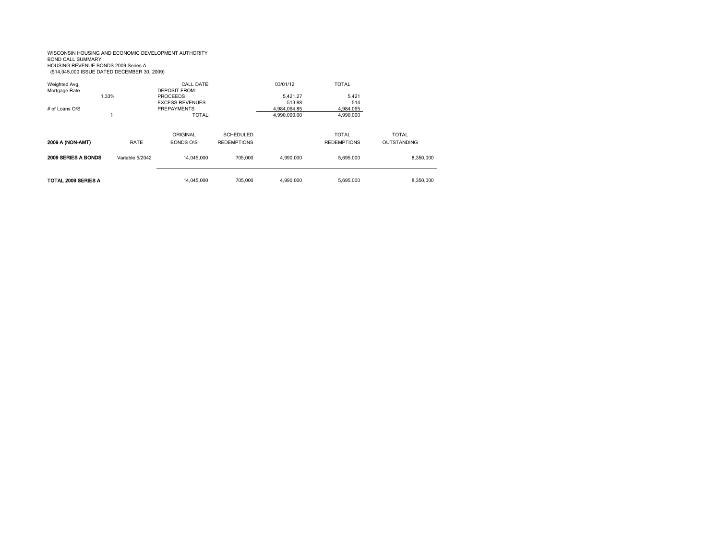#### WISCONSIN HOUSING AND ECONOMIC DEVELOPMENT AUTHORITY BOND CALL SUMMARY HOUSING REVENUE BONDS 2009 Series A (\$14,045,000 ISSUE DATED DECEMBER 30, 2009)

| Weighted Avg.<br>Mortgage Rate<br># of Loans $O/S$ | 1.33%           | CALL DATE:<br>DEPOSIT FROM:<br><b>PROCEEDS</b><br><b>EXCESS REVENUES</b><br><b>PREPAYMENTS</b><br><b>TOTAL:</b> |                                        | 03/01/12<br>5.421.27<br>513.88<br>4.984.064.85 | <b>TOTAL</b><br>5.421<br>514<br>4,984,065       |                                    |
|----------------------------------------------------|-----------------|-----------------------------------------------------------------------------------------------------------------|----------------------------------------|------------------------------------------------|-------------------------------------------------|------------------------------------|
| <b>2009 A (NON-AMT)</b>                            | RATE            | ORIGINAL<br><b>BONDS O\S</b>                                                                                    | <b>SCHEDULED</b><br><b>REDEMPTIONS</b> | 4,990,000.00                                   | 4,990,000<br><b>TOTAL</b><br><b>REDEMPTIONS</b> | <b>TOTAL</b><br><b>OUTSTANDING</b> |
| 2009 SERIES A BONDS                                | Variable 5/2042 | 14.045.000                                                                                                      | 705.000                                | 4.990.000                                      | 5,695,000                                       | 8,350,000                          |
| TOTAL 2009 SERIES A                                |                 | 14.045.000                                                                                                      | 705.000                                | 4.990.000                                      | 5.695.000                                       | 8.350.000                          |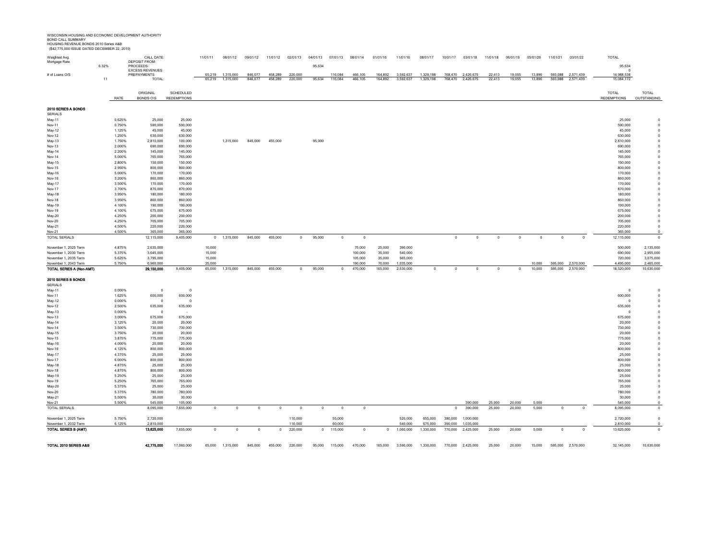WISCONSIN HOUSING AND ECONOMIC DEVELOPMENT AUTHORITY<br>BOND CALL SUMMARY<br>HOUSING REVENUE BONDS 2010 Series A&B<br>(\$42,775,000 ISSUE DATED DECEMBER 22, 2010)

| Weighted Avg.                                     |       |                  | CALL DATE:<br><b>DEPOSIT FROM:</b>    |                           | 11/01/11         | 08/01/12          | 09/01/12       | 11/01/12     | 02/01/13           |              | 04/01/13 07/01/13 | 08/01/14           | 01/01/16          | 11/01/16               | 08/01/17    | 10/01/17           | 03/01/18          | 11/01/18    | 06/01/19    | 05/01/20         | 11/01/21    | 03/01/22                       | <b>TOTAL</b>            |                         |
|---------------------------------------------------|-------|------------------|---------------------------------------|---------------------------|------------------|-------------------|----------------|--------------|--------------------|--------------|-------------------|--------------------|-------------------|------------------------|-------------|--------------------|-------------------|-------------|-------------|------------------|-------------|--------------------------------|-------------------------|-------------------------|
| Mortgage Rate                                     | 6.32% |                  | PROCEEDS                              |                           |                  |                   |                |              |                    | 95,634       |                   |                    |                   |                        |             |                    |                   |             |             |                  |             |                                | 95,634                  |                         |
| # of Loans O/S                                    |       |                  | <b>EXCESS REVENUES</b><br>PREPAYMENTS |                           | 65 219           | 1,315,000         | 846,077        | 458,289      | 220,000            |              | 116,084           | 466,105            | 164,892           | 3,592,637              | 1,329,198   |                    | 768,470 2,426,675 | 22,413      | 19 055      | 13,896           |             | 593,088 2,571,439              | 14,988,538              |                         |
|                                                   | 11    |                  | <b>TOTAL</b>                          |                           |                  | 65.219  1.315.000 | 846.077        | 458.289      | 220.000            | 95.634       | 116.084           | 466,105            | 164.892           | 3.592.637              | 1.329.198   |                    | 768.470 2.426.675 | 22.413      | 19.055      | 13,896           |             | 593.088 2.571.439              | 15.084.172              |                         |
|                                                   |       |                  |                                       |                           |                  |                   |                |              |                    |              |                   |                    |                   |                        |             |                    |                   |             |             |                  |             |                                |                         |                         |
|                                                   |       |                  | ORIGINAL                              | SCHEDULED                 |                  |                   |                |              |                    |              |                   |                    |                   |                        |             |                    |                   |             |             |                  |             |                                | <b>TOTAL</b>            | <b>TOTAL</b>            |
|                                                   |       | RATE             | <b>BONDS O\S</b>                      | <b>REDEMPTIONS</b>        |                  |                   |                |              |                    |              |                   |                    |                   |                        |             |                    |                   |             |             |                  |             |                                | <b>REDEMPTIONS</b>      | OUTSTANDING             |
| 2010 SERIES A BONDS                               |       |                  |                                       |                           |                  |                   |                |              |                    |              |                   |                    |                   |                        |             |                    |                   |             |             |                  |             |                                |                         |                         |
| <b>SERIALS</b>                                    |       |                  |                                       |                           |                  |                   |                |              |                    |              |                   |                    |                   |                        |             |                    |                   |             |             |                  |             |                                |                         |                         |
| May-11                                            |       | 0.625%           | 25,000                                | 25,000                    |                  |                   |                |              |                    |              |                   |                    |                   |                        |             |                    |                   |             |             |                  |             |                                | 25,000                  |                         |
| Nov-11                                            |       | 0.750%<br>1.125% | 590,000<br>45,000                     | 590,000<br>45,000         |                  |                   |                |              |                    |              |                   |                    |                   |                        |             |                    |                   |             |             |                  |             |                                | 590,000<br>45,000       |                         |
| May-12<br>Nov-12                                  |       | 1.250%           | 630,000                               | 630,000                   |                  |                   |                |              |                    |              |                   |                    |                   |                        |             |                    |                   |             |             |                  |             |                                | 630,000                 |                         |
| May-13                                            |       | 1.750%           | 2,810,000                             | 100,000                   |                  | 1,315,000         | 845,000        | 455,000      |                    | 95,000       |                   |                    |                   |                        |             |                    |                   |             |             |                  |             |                                | 2,810,000               |                         |
| Nov-13                                            |       | 2.000%           | 690,000                               | 690,000                   |                  |                   |                |              |                    |              |                   |                    |                   |                        |             |                    |                   |             |             |                  |             |                                | 690,000                 |                         |
| May-14                                            |       | 2.200%           | 145,000                               | 145,000                   |                  |                   |                |              |                    |              |                   |                    |                   |                        |             |                    |                   |             |             |                  |             |                                | 145,000                 |                         |
| Nov-14                                            |       | 5.000%           | 765,000                               | 765,000                   |                  |                   |                |              |                    |              |                   |                    |                   |                        |             |                    |                   |             |             |                  |             |                                | 765,000                 |                         |
| May-15<br>Nov-15                                  |       | 2.800%<br>2.950% | 150,000<br>800,000                    | 150,000<br>800,000        |                  |                   |                |              |                    |              |                   |                    |                   |                        |             |                    |                   |             |             |                  |             |                                | 150,000<br>800,000      |                         |
| May-16                                            |       | 5.000%           | 170,000                               | 170,000                   |                  |                   |                |              |                    |              |                   |                    |                   |                        |             |                    |                   |             |             |                  |             |                                | 170,000                 |                         |
| Nov-16                                            |       | 3.200%           | 860,000                               | 860,000                   |                  |                   |                |              |                    |              |                   |                    |                   |                        |             |                    |                   |             |             |                  |             |                                | 860,000                 |                         |
| May-17                                            |       | 3.500%           | 170,000                               | 170,000                   |                  |                   |                |              |                    |              |                   |                    |                   |                        |             |                    |                   |             |             |                  |             |                                | 170,000                 |                         |
| Nov-17                                            |       | 3.700%           | 870,000                               | 870,000                   |                  |                   |                |              |                    |              |                   |                    |                   |                        |             |                    |                   |             |             |                  |             |                                | 870,000                 |                         |
| May-18<br><b>Nov-18</b>                           |       | 3.950%<br>3.950% | 180,000<br>860,000                    | 180,000<br>860,000        |                  |                   |                |              |                    |              |                   |                    |                   |                        |             |                    |                   |             |             |                  |             |                                | 180,000<br>860,000      |                         |
| May-19                                            |       | 4.100%           | 190,000                               | 190,000                   |                  |                   |                |              |                    |              |                   |                    |                   |                        |             |                    |                   |             |             |                  |             |                                | 190,000                 |                         |
| Nov-19                                            |       | 4.100%           | 675,000                               | 675,000                   |                  |                   |                |              |                    |              |                   |                    |                   |                        |             |                    |                   |             |             |                  |             |                                | 675,000                 |                         |
| May-20                                            |       | 4.250%           | 200,000                               | 200,000                   |                  |                   |                |              |                    |              |                   |                    |                   |                        |             |                    |                   |             |             |                  |             |                                | 200,000                 |                         |
| <b>Nov-20</b>                                     |       | 4.250%           | 705,000                               | 705,000                   |                  |                   |                |              |                    |              |                   |                    |                   |                        |             |                    |                   |             |             |                  |             |                                | 705,000                 | $^{\circ}$              |
| May-21                                            |       | 4.500%           | 220,000                               | 220,000                   |                  |                   |                |              |                    |              |                   |                    |                   |                        |             |                    |                   |             |             |                  |             |                                | 220,000                 | $\Omega$                |
| Nov-21<br>TOTAL SERIALS                           |       | 4.500%           | 365.000<br>12,115,000                 | 365,000<br>9,405,000      | $\Omega$         | 1,315,000         | 845,000        | 455,000      | $\circ$            | 95,000       | $\circ$           | $\Omega$           |                   |                        |             | $\Omega$           | $\Omega$          | $\circ$     | $\Omega$    | $\Omega$         | $\circ$     | $\Omega$                       | 365,000<br>12,115,000   | $\Omega$                |
|                                                   |       |                  |                                       |                           |                  |                   |                |              |                    |              |                   |                    |                   |                        |             |                    |                   |             |             |                  |             |                                |                         |                         |
| November 1, 2025 Term                             |       | 4.875%           | 2,635,000                             |                           | 10,000           |                   |                |              |                    |              |                   | 75,000             | 25,000            | 390,000                |             |                    |                   |             |             |                  |             |                                | 500,000                 | 2,135,000               |
| November 1, 2030 Term                             |       | 5.375%           | 3,645,000                             |                           | 15,000           |                   |                |              |                    |              |                   | 100,000            | 35,000            | 540,000                |             |                    |                   |             |             |                  |             |                                | 690,000                 | 2,955,000               |
| November 1, 2035 Term                             |       | 5.625%           | 3,795,000                             |                           | 15,000           |                   |                |              |                    |              |                   | 105,000            | 35,000            | 565,000                |             |                    |                   |             |             |                  |             |                                | 720,000                 | 3,075,000               |
| November 1, 2043 Term<br>TOTAL SERIES A (Non-AMT) |       | 5.750%           | 6,960,000<br>29,150,000               | 9,405,000                 | 25,000<br>65,000 | 1,315,000         | 845,000        | 455,000      | $\circ$            | 95,000       | $\mathbf 0$       | 190,000<br>470,000 | 70,000<br>165,000 | 1,035,000<br>2,530,000 | $\mathbf 0$ | $\Omega$           | $\mathbf 0$       | $\mathbf 0$ | $\mathbb O$ | 10,000<br>10,000 | 595,000     | 595,000 2,570,000<br>2,570,000 | 4,495,000<br>18,520,000 | 2,465,000<br>10,630,000 |
|                                                   |       |                  |                                       |                           |                  |                   |                |              |                    |              |                   |                    |                   |                        |             |                    |                   |             |             |                  |             |                                |                         |                         |
| 2010 SERIES B BONDS                               |       |                  |                                       |                           |                  |                   |                |              |                    |              |                   |                    |                   |                        |             |                    |                   |             |             |                  |             |                                |                         |                         |
| <b>SERIALS</b>                                    |       |                  |                                       |                           |                  |                   |                |              |                    |              |                   |                    |                   |                        |             |                    |                   |             |             |                  |             |                                |                         |                         |
| May-11<br>Nov-11                                  |       | 0.000%<br>1.625% | $\mathbf{0}$<br>600,000               | $\overline{0}$<br>600,000 |                  |                   |                |              |                    |              |                   |                    |                   |                        |             |                    |                   |             |             |                  |             |                                | $\circ$<br>600,000      |                         |
| May-12                                            |       | 0.000%           | $\overline{0}$                        | $^{\circ}$                |                  |                   |                |              |                    |              |                   |                    |                   |                        |             |                    |                   |             |             |                  |             |                                | $\circ$                 |                         |
| Nov-12                                            |       | 2.500%           | 635,000                               | 635,000                   |                  |                   |                |              |                    |              |                   |                    |                   |                        |             |                    |                   |             |             |                  |             |                                | 635,000                 |                         |
| May-13                                            |       | 0.000%           | $\Omega$                              |                           |                  |                   |                |              |                    |              |                   |                    |                   |                        |             |                    |                   |             |             |                  |             |                                | $\Omega$                |                         |
| Nov-13                                            |       | 3.000%           | 675,000                               | 675,000                   |                  |                   |                |              |                    |              |                   |                    |                   |                        |             |                    |                   |             |             |                  |             |                                | 675,000                 |                         |
| May-14                                            |       | 3.125%           | 20,000<br>730,000                     | 20,000                    |                  |                   |                |              |                    |              |                   |                    |                   |                        |             |                    |                   |             |             |                  |             |                                | 20,000                  |                         |
| Nov-14<br>May-15                                  |       | 3.500%<br>3.750% | 20,000                                | 730,000<br>20,000         |                  |                   |                |              |                    |              |                   |                    |                   |                        |             |                    |                   |             |             |                  |             |                                | 730,000<br>20,000       |                         |
| Nov-15                                            |       | 3.875%           | 775,000                               | 775,000                   |                  |                   |                |              |                    |              |                   |                    |                   |                        |             |                    |                   |             |             |                  |             |                                | 775,000                 |                         |
| May-16                                            |       | 4.000%           | 20,000                                | 20,000                    |                  |                   |                |              |                    |              |                   |                    |                   |                        |             |                    |                   |             |             |                  |             |                                | 20,000                  |                         |
| Nov-16                                            |       | 4.125%           | 800,000                               | 800,000                   |                  |                   |                |              |                    |              |                   |                    |                   |                        |             |                    |                   |             |             |                  |             |                                | 800,000                 |                         |
| May-17                                            |       | 4.375%           | 25,000                                | 25,000                    |                  |                   |                |              |                    |              |                   |                    |                   |                        |             |                    |                   |             |             |                  |             |                                | 25,000                  |                         |
| Nov-17<br>May-18                                  |       | 6.000%<br>4.875% | 800,000<br>25,000                     | 800,000<br>25,000         |                  |                   |                |              |                    |              |                   |                    |                   |                        |             |                    |                   |             |             |                  |             |                                | 800,000<br>25,000       |                         |
| Nov-18                                            |       | 4.875%           | 800,000                               | 800,000                   |                  |                   |                |              |                    |              |                   |                    |                   |                        |             |                    |                   |             |             |                  |             |                                | 800,000                 |                         |
| May-19                                            |       | 5.250%           | 25,000                                | 25,000                    |                  |                   |                |              |                    |              |                   |                    |                   |                        |             |                    |                   |             |             |                  |             |                                | 25,000                  |                         |
| Nov-19                                            |       | 5.250%           | 765,000                               | 765,000                   |                  |                   |                |              |                    |              |                   |                    |                   |                        |             |                    |                   |             |             |                  |             |                                | 765,000                 |                         |
| May-20                                            |       | 5.375%           | 25,000                                | 25,000                    |                  |                   |                |              |                    |              |                   |                    |                   |                        |             |                    |                   |             |             |                  |             |                                | 25,000                  |                         |
| Nov-20                                            |       | 5.375%<br>5.500% | 780,000<br>30,000                     | 780,000<br>30,000         |                  |                   |                |              |                    |              |                   |                    |                   |                        |             |                    |                   |             |             |                  |             |                                | 780,000<br>30,000       | $^{\circ}$<br>$\Omega$  |
| May-21<br>Nov-21                                  |       | 5.500%           | 545.000                               | 105,000                   |                  |                   |                |              |                    |              |                   |                    |                   |                        |             |                    | 390,000           | 25,000      | 20,000      | 5,000            |             |                                | 545.000                 |                         |
| TOTAL SERIALS                                     |       |                  | 8,095,000                             | 7,655,000                 | $\circ$          | $\Omega$          | $^{\circ}$     | $\mathbf{0}$ | $\overline{0}$     | $^{\circ}$   | $^{\circ}$        | $\Omega$           |                   |                        |             | $\Omega$           | 390,000           | 25,000      | 20,000      | 5,000            | $\Omega$    | $\Omega$                       | 8,095,000               | $\Omega$                |
|                                                   |       |                  |                                       |                           |                  |                   |                |              |                    |              |                   |                    |                   |                        |             |                    |                   |             |             |                  |             |                                |                         |                         |
| November 1, 2025 Term                             |       | 5.750%           | 2,720,000                             |                           |                  |                   |                |              | 110,000            |              | 55,000            |                    |                   | 520,000                | 655,000     | 380,000            | 1,000,000         |             |             |                  |             |                                | 2,720,000               | $\mathbf{0}$            |
| November 1, 2032 Term<br>TOTAL SERIES B (AMT)     |       | 6.125%           | 2.810.000<br>13,625,000               | 7,655,000                 | $\circ$          | $\circ$           | $\overline{0}$ | $\mathbf 0$  | 110,000<br>220,000 | $\mathbf{0}$ | 60.000<br>115,000 | $\mathbf 0$        | $\mathbf{0}$      | 540,000                | 675,000     | 390,000<br>770,000 | 1.035.000         |             |             | 5,000            | $\mathbf 0$ | $\overline{0}$                 | 2.810.000               | $\Omega$                |
|                                                   |       |                  |                                       |                           |                  |                   |                |              |                    |              |                   |                    |                   | 1,060,000              | 1,330,000   |                    | 2,425,000         | 25,000      | 20,000      |                  |             |                                | 13,625,000              |                         |
|                                                   |       |                  |                                       |                           |                  |                   |                |              |                    |              |                   |                    |                   |                        |             |                    |                   |             |             |                  |             |                                |                         |                         |
| TOTAL 2010 SERIES A&B                             |       |                  | 42,775,000                            | 17,060,000                | 65,000           | 1,315,000         | 845,000        | 455,000      | 220,000            | 95,000       | 115,000           | 470,000            | 165,000           | 3,590,000              | 1,330,000   | 770,000            | 2,425,000         | 25,000      | 20,000      | 15,000           |             | 595,000 2,570,000              | 32,145,000              | 10,630,000              |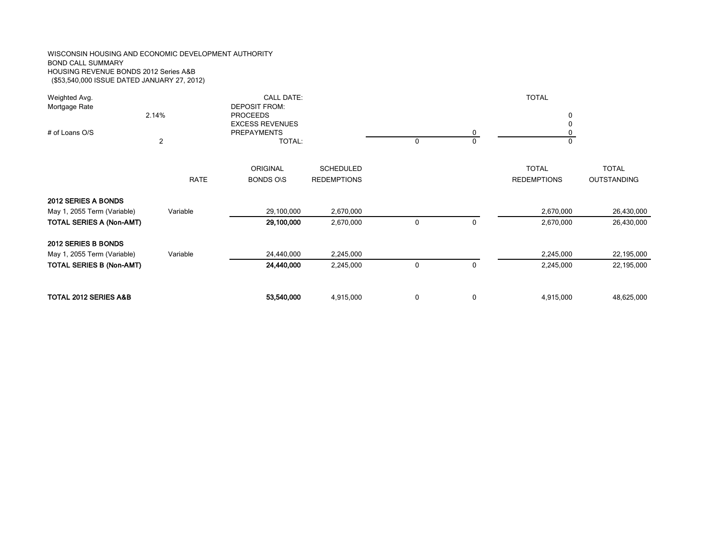#### WISCONSIN HOUSING AND ECONOMIC DEVELOPMENT AUTHORITY BOND CALL SUMMARY HOUSING REVENUE BONDS 2012 Series A&B (\$53,540,000 ISSUE DATED JANUARY 27, 2012)

| Weighted Avg.<br>Mortgage Rate<br># of Loans O/S                                      | 2.14%<br>2  | <b>CALL DATE:</b><br><b>DEPOSIT FROM:</b><br><b>PROCEEDS</b><br><b>EXCESS REVENUES</b><br><b>PREPAYMENTS</b><br>TOTAL: |                                        | 0 | 0 | <b>TOTAL</b><br>0<br>$\Omega$      |                                    |
|---------------------------------------------------------------------------------------|-------------|------------------------------------------------------------------------------------------------------------------------|----------------------------------------|---|---|------------------------------------|------------------------------------|
|                                                                                       | <b>RATE</b> | <b>ORIGINAL</b><br><b>BONDS ONS</b>                                                                                    | <b>SCHEDULED</b><br><b>REDEMPTIONS</b> |   |   | <b>TOTAL</b><br><b>REDEMPTIONS</b> | <b>TOTAL</b><br><b>OUTSTANDING</b> |
| 2012 SERIES A BONDS<br>May 1, 2055 Term (Variable)<br><b>TOTAL SERIES A (Non-AMT)</b> | Variable    | 29,100,000<br>29,100,000                                                                                               | 2,670,000<br>2,670,000                 | 0 | 0 | 2,670,000<br>2,670,000             | 26,430,000<br>26,430,000           |
| 2012 SERIES B BONDS<br>May 1, 2055 Term (Variable)<br>TOTAL SERIES B (Non-AMT)        | Variable    | 24,440,000<br>24,440,000                                                                                               | 2,245,000<br>2,245,000                 | 0 | 0 | 2,245,000<br>2,245,000             | 22,195,000<br>22,195,000           |
| TOTAL 2012 SERIES A&B                                                                 |             | 53,540,000                                                                                                             | 4,915,000                              | 0 | 0 | 4,915,000                          | 48,625,000                         |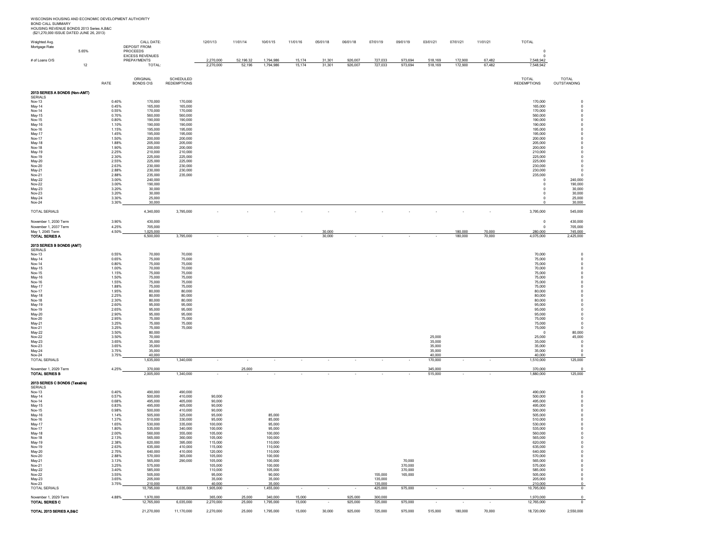WISCONSIN HOUSING AND ECONOMIC DEVELOPMENT AUTHORITY<br>BOND CALL SUMMARY<br>HOUSING REVENUE BONDS 2013 Series A,B&C<br>(\$21,270,000 ISSUE DATED JUNE 26, 2013)

| Weighted Avg.<br>Mortgage Rate                  | 5.65% |                | CALL DATE:<br><b>DEPOSIT FROM:</b><br>PROCEEDS |                    | 12/01/13             | 11/01/14         | 10/01/15             | 11/01/16         | 05/01/18         | 06/01/18           | 07/01/19           | 09/01/19           | 03/01/21           | 07/01/21                 | 11/01/21                 | <b>TOTAL</b><br>$^{\circ}$ |                             |
|-------------------------------------------------|-------|----------------|------------------------------------------------|--------------------|----------------------|------------------|----------------------|------------------|------------------|--------------------|--------------------|--------------------|--------------------|--------------------------|--------------------------|----------------------------|-----------------------------|
| # of Loans O/S                                  |       |                | <b>EXCESS REVENUES</b><br>PREPAYMENTS          |                    | 2,270,000            | 52,196.32        | 1,794,986            | 15,174           | 31,301           | 926,007            | 727,033            | 973,694            | 518,169            | 172,900                  | 67,482                   | $\pmb{0}$<br>7,548,942     |                             |
|                                                 | 12    |                | TOTAL:                                         |                    | 2,270,000            | 52,196           | 1,794,986            | 15,174           | 31,301           | 926,007            | 727,033            | 973,694            | 518,169            | 172,900                  | 67,482                   | 7,548,942                  |                             |
|                                                 |       |                | ORIGINAL                                       | SCHEDULED          |                      |                  |                      |                  |                  |                    |                    |                    |                    |                          |                          | <b>TOTAL</b>               | TOTAL                       |
|                                                 |       | RATE           | <b>BONDS O\S</b>                               | <b>REDEMPTIONS</b> |                      |                  |                      |                  |                  |                    |                    |                    |                    |                          |                          | <b>REDEMPTIONS</b>         | OUTSTANDING                 |
| 2013 SERIES A BONDS (Non-AMT)<br><b>SERIALS</b> |       |                |                                                |                    |                      |                  |                      |                  |                  |                    |                    |                    |                    |                          |                          |                            |                             |
| Nov-13<br>May-14                                |       | 0.40%<br>0.45% | 170,000<br>165,000                             | 170,000<br>165,000 |                      |                  |                      |                  |                  |                    |                    |                    |                    |                          |                          | 170,000<br>165,000         |                             |
| Nov-14                                          |       | 0.55%          | 170,000                                        | 170,000            |                      |                  |                      |                  |                  |                    |                    |                    |                    |                          |                          | 170,000                    |                             |
| May-15<br>Nov-15                                |       | 0.70%<br>0.80% | 560,000<br>190,000                             | 560,000<br>190,000 |                      |                  |                      |                  |                  |                    |                    |                    |                    |                          |                          | 560,000<br>190,000         |                             |
| May-16<br>Nov-16                                |       | 1.10%<br>1.15% | 190,000<br>195,000                             | 190,000<br>195,000 |                      |                  |                      |                  |                  |                    |                    |                    |                    |                          |                          | 190,000<br>195,000         |                             |
| May-17<br>Nov-17                                |       | 1.45%<br>1.50% | 195,000<br>200,000                             | 195,000<br>200,000 |                      |                  |                      |                  |                  |                    |                    |                    |                    |                          |                          | 195,000<br>200,000         |                             |
| May-18<br><b>Nov-18</b>                         |       | 1.88%<br>1.90% | 205,000<br>200,000                             | 205,000<br>200,000 |                      |                  |                      |                  |                  |                    |                    |                    |                    |                          |                          | 205,000<br>200,000         |                             |
| May-19<br>Nov-19                                |       | 2.25%<br>2.30% | 210,000<br>225,000                             | 210,000<br>225,000 |                      |                  |                      |                  |                  |                    |                    |                    |                    |                          |                          | 210,000<br>225,000         |                             |
| May-20<br>Nov-20                                |       | 2.55%<br>2.63% | 225,000<br>230,000                             | 225,000<br>230,000 |                      |                  |                      |                  |                  |                    |                    |                    |                    |                          |                          | 225,000<br>230,000         | $\Omega$                    |
| May-21<br>Nov-21                                |       | 2.88%<br>2.88% | 230,000<br>235,000                             | 230,000<br>235,000 |                      |                  |                      |                  |                  |                    |                    |                    |                    |                          |                          | 230,000<br>235,000         | $\Omega$                    |
| May-22                                          |       | 3.00%          | 240.000                                        |                    |                      |                  |                      |                  |                  |                    |                    |                    |                    |                          |                          | $^{\circ}$                 | 240,000                     |
| Nov-22<br>May-23                                |       | 3.00%<br>3.20% | 190,000<br>30,000                              |                    |                      |                  |                      |                  |                  |                    |                    |                    |                    |                          |                          | $\mathbf 0$<br>$^{\circ}$  | 190,000<br>30,000           |
| Nov-23<br>May-24                                |       | 3.20%<br>3.30% | 30,000<br>25,000                               |                    |                      |                  |                      |                  |                  |                    |                    |                    |                    |                          |                          | $\mathbf 0$<br>$\pmb{0}$   | 30,000<br>25,000            |
| Nov-24                                          |       | 3.30%          | 30,000                                         |                    |                      |                  |                      |                  |                  |                    |                    |                    |                    |                          |                          | $\Omega$                   | 30,000                      |
| <b>TOTAL SERIALS</b>                            |       |                | 4,340,000                                      | 3,795,000          |                      |                  |                      |                  |                  |                    |                    |                    |                    |                          |                          | 3,795,000                  | 545,000                     |
| November 1, 2030 Term<br>November 1, 2037 Term  |       | 3.90%<br>4.25% | 430,000<br>705,000                             |                    |                      |                  |                      |                  |                  |                    |                    |                    |                    |                          |                          | $\pmb{0}$<br>$^{\circ}$    | 430,000<br>705,000          |
| May 1, 2045 Term<br><b>TOTAL SERIES A</b>       |       | 4.50%          | 1,025,000<br>6,500,000                         | 3,795,000          |                      |                  |                      |                  | 30,000<br>30,000 |                    |                    |                    |                    | 180,000<br>180,000       | 70,000<br>70,000         | 280,000<br>4,075,000       | 745,000<br>2,425,000        |
| 2013 SERIES B BONDS (AMT)                       |       |                |                                                |                    |                      |                  |                      |                  |                  |                    |                    |                    |                    |                          |                          |                            |                             |
| SERIALS<br>Nov-13                               |       | 0.55%          |                                                |                    |                      |                  |                      |                  |                  |                    |                    |                    |                    |                          |                          |                            | $\mathbf 0$                 |
| May-14                                          |       | 0.65%          | 70,000<br>75,000                               | 70,000<br>75,000   |                      |                  |                      |                  |                  |                    |                    |                    |                    |                          |                          | 70,000<br>75,000           | $^{\circ}$                  |
| <b>Nov-14</b><br>May-15                         |       | 0.80%<br>1.00% | 75,000<br>70,000                               | 75,000<br>70,000   |                      |                  |                      |                  |                  |                    |                    |                    |                    |                          |                          | 75,000<br>70,000           | $^{\circ}$                  |
| Nov-15<br>May-16                                |       | 1.15%<br>1.50% | 75,000<br>75,000                               | 75,000<br>75,000   |                      |                  |                      |                  |                  |                    |                    |                    |                    |                          |                          | 75,000<br>75,000           |                             |
| Nov-16<br>May-17                                |       | 1.55%<br>1.88% | 75,000<br>75,000                               | 75,000<br>75,000   |                      |                  |                      |                  |                  |                    |                    |                    |                    |                          |                          | 75,000<br>75,000           |                             |
| <b>Nov-17</b><br>May-18                         |       | 1.95%<br>2.25% | 80,000<br>80,000                               | 80,000<br>80,000   |                      |                  |                      |                  |                  |                    |                    |                    |                    |                          |                          | 80,000<br>80,000           |                             |
| <b>Nov-18</b><br>May-19                         |       | 2.30%<br>2.60% | 80,000<br>95,000                               | 80,000<br>95,000   |                      |                  |                      |                  |                  |                    |                    |                    |                    |                          |                          | 80,000<br>95,000           |                             |
| Nov-19                                          |       | 2.65%<br>2.90% | 95,000<br>95,000                               | 95,000<br>95,000   |                      |                  |                      |                  |                  |                    |                    |                    |                    |                          |                          | 95,000<br>95,000           | 0                           |
| $May-20$<br><b>Nov-20</b>                       |       | 2.95%          | 75,000                                         | 75,000             |                      |                  |                      |                  |                  |                    |                    |                    |                    |                          |                          | 75,000                     | $\Omega$                    |
| May-21<br>Nov-21                                |       | 3.25%<br>3.25% | 75,000<br>75,000                               | 75,000<br>75,000   |                      |                  |                      |                  |                  |                    |                    |                    |                    |                          |                          | 75,000<br>75,000           |                             |
| May-22<br>Nov-22                                |       | 3.50%<br>3.50% | 80,000<br>70,000                               |                    |                      |                  |                      |                  |                  |                    |                    |                    | 25,000             |                          |                          | $\overline{0}$<br>25,000   | 80,000<br>45,000            |
| May-23<br>Nov-23                                |       | 3.65%<br>3.65% | 35,000<br>35,000                               |                    |                      |                  |                      |                  |                  |                    |                    |                    | 35,000<br>35,000   |                          |                          | 35,000<br>35,000           | - 0<br>$\overline{0}$       |
| May-24<br><b>Nov-24</b>                         |       | 3.75%<br>3.75% | 35,000<br>40,000                               |                    |                      |                  |                      |                  |                  |                    |                    |                    | 35,000<br>40.000   |                          |                          | 35,000<br>40,000           | $^{\circ}$                  |
| <b>TOTAL SERIALS</b>                            |       |                | 1,635,000                                      | 1,340,000          |                      |                  |                      |                  |                  |                    |                    |                    | 170,000            |                          |                          | 1,510,000                  | 125,000                     |
| November 1, 2029 Term<br>TOTAL SERIES B         |       | 4.25%          | 370.000<br>2,005,000                           | 1,340,000          |                      | 25,000           |                      |                  |                  |                    |                    |                    | 345.000<br>515,000 |                          |                          | 370,000<br>1,880,000       | $\Omega$<br>125,000         |
| 2013 SERIES C BONDS (Taxable)                   |       |                |                                                |                    |                      |                  |                      |                  |                  |                    |                    |                    |                    |                          |                          |                            |                             |
| SERIALS<br>Nov-13                               |       | 0.40%          | 490,000                                        | 490,000            |                      |                  |                      |                  |                  |                    |                    |                    |                    |                          |                          | 490,000                    | $\overline{0}$              |
| May-14<br><b>Nov-14</b>                         |       | 0.57%<br>0.68% | 500,000<br>495,000                             | 410,000<br>405,000 | 90,000<br>90,000     |                  |                      |                  |                  |                    |                    |                    |                    |                          |                          | 500,000<br>495,000         |                             |
| May-15<br>Nov-15                                |       | 0.83%<br>0.98% | 495,000<br>500,000                             | 405,000<br>410,000 | 90,000<br>90,000     |                  |                      |                  |                  |                    |                    |                    |                    |                          |                          | 495.000<br>500,000         |                             |
| May-16<br><b>Nov-16</b>                         |       | 1.14%<br>1.37% | 505,000<br>510,000                             | 325,000<br>330,000 | 95,000<br>95,000     |                  | 85,000<br>85,000     |                  |                  |                    |                    |                    |                    |                          |                          | 505,000<br>510.000         |                             |
| May-17                                          |       | 1.65%          | 530,000                                        | 335,000            | 100,000              |                  | 95,000               |                  |                  |                    |                    |                    |                    |                          |                          | 530,000                    |                             |
| Nov-17<br>May-18                                |       | 1.80%<br>2.00% | 535,000<br>560,000                             | 340,000<br>355,000 | 100,000<br>105,000   |                  | 95,000<br>100,000    |                  |                  |                    |                    |                    |                    |                          |                          | 535,000<br>560,000         |                             |
| Nov-18<br>May-19                                |       | 2.13%<br>2.38% | 565,000<br>620,000                             | 360,000<br>395,000 | 105,000<br>115,000   |                  | 100,000<br>110,000   |                  |                  |                    |                    |                    |                    |                          |                          | 565,000<br>620,000         |                             |
| <b>Nov-19</b><br>May-20                         |       | 2.63%<br>2.75% | 635,000<br>640,000                             | 410,000<br>410,000 | 115,000<br>120,000   |                  | 110,000<br>110,000   |                  |                  |                    |                    |                    |                    |                          |                          | 635,000<br>640,000         |                             |
| Nov-20<br>May-21                                |       | 2.88%<br>3.13% | 570,000<br>565,000                             | 365,000<br>290,000 | 105,000<br>105,000   |                  | 100,000<br>100,000   |                  |                  |                    |                    | 70,000             |                    |                          |                          | 570,000<br>565,000         | $\Omega$<br>$\Omega$        |
| Nov-21<br>May-22                                |       | 3.25%<br>3.40% | 575,000<br>585,000                             |                    | 105,000<br>110,000   |                  | 100,000<br>105,000   |                  |                  |                    |                    | 370,000<br>370,000 |                    |                          |                          | 575,000<br>585,000         | $\mathbf{0}$<br>$\Omega$    |
| <b>Nov-22</b><br>May-23                         |       | 3.55%<br>3.65% | 505,000<br>205,000                             |                    | 95,000<br>35,000     |                  | 90,000<br>35,000     |                  |                  |                    | 155,000<br>135,000 | 165,000            |                    |                          |                          | 505,000<br>205,000         | $\mathbf 0$<br>$\mathbf{0}$ |
| <b>Nov-23</b><br>TOTAL SERIALS                  |       | 3.75%          | 210,000<br>10,795,000                          | 6,035,000          | 40,000<br>1,905,000  |                  | 35 000<br>1,455,000  |                  |                  |                    | 135,000<br>425,000 | 975,000            |                    | ÷,                       |                          | 210.000<br>10,795,000      | $\Omega$<br>$\mathbf 0$     |
|                                                 |       |                |                                                |                    |                      |                  |                      |                  |                  |                    |                    |                    |                    |                          |                          |                            |                             |
| November 1, 2029 Term<br>TOTAL SERIES C         |       | 4.88%          | 1,970,000<br>12,765,000                        | 6,035,000          | 365,000<br>2,270,000 | 25,000<br>25,000 | 340,000<br>1,795,000 | 15,000<br>15,000 |                  | 925,000<br>925,000 | 300,000<br>725,000 | 975,000            |                    | $\overline{\phantom{a}}$ | $\overline{\phantom{a}}$ | 1,970,000<br>12,765,000    | $\mathbf{0}$                |
| TOTAL 2013 SERIES A B&C                         |       |                | 21,270,000                                     | 11,170,000         | 2,270,000            | 25,000           | 1,795,000            | 15,000           | 30,000           | 925,000            | 725,000            | 975,000            | 515,000            | 180,000                  | 70,000                   | 18,720,000                 | 2,550,000                   |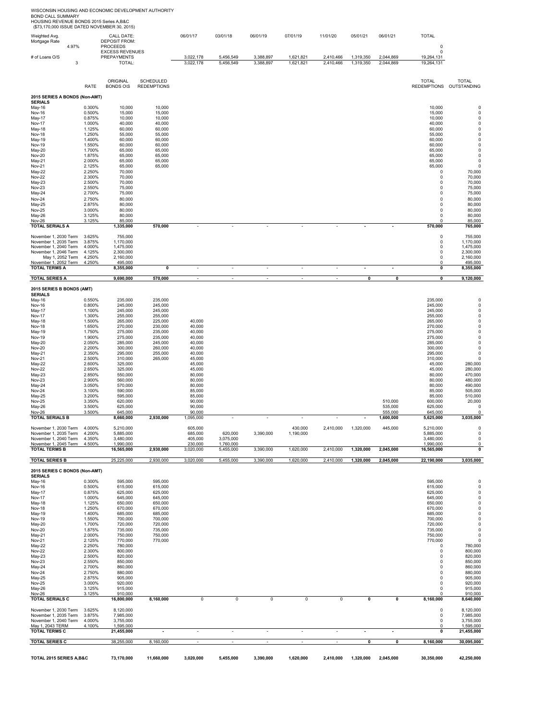| Weighted Avg.<br>Mortgage Rate                  | 4.97% |                  | CALL DATE:<br>DEPOSIT FROM:<br><b>PROCEEDS</b> |                    | 06/01/17                | 03/01/18                 | 06/01/19               | 07/01/19                 | 11/01/20                 | 05/01/21                      | 06/01/21               | <b>TOTAL</b><br>0          |                                               |
|-------------------------------------------------|-------|------------------|------------------------------------------------|--------------------|-------------------------|--------------------------|------------------------|--------------------------|--------------------------|-------------------------------|------------------------|----------------------------|-----------------------------------------------|
|                                                 |       |                  | <b>EXCESS REVENUES</b>                         |                    |                         |                          |                        |                          |                          |                               |                        | $\pmb{0}$                  |                                               |
| # of Loans O/S                                  | 3     |                  | <b>PREPAYMENTS</b><br>TOTAL:                   |                    | 3,022,178<br>3,022,178  | 5,456,549<br>5,456,549   | 3,388,897<br>3,388,897 | 1,621,821<br>1,621,821   | 2,410,466<br>2,410,466   | 1,319,350<br>1,319,350        | 2,044,869<br>2,044,869 | 19,264,131<br>19,264,131   |                                               |
|                                                 |       |                  |                                                |                    |                         |                          |                        |                          |                          |                               |                        |                            |                                               |
|                                                 |       |                  | ORIGINAL                                       | <b>SCHEDULED</b>   |                         |                          |                        |                          |                          |                               |                        | <b>TOTAL</b>               | <b>TOTAL</b>                                  |
|                                                 |       | <b>RATE</b>      | <b>BONDS OIS</b>                               | <b>REDEMPTIONS</b> |                         |                          |                        |                          |                          |                               |                        |                            | REDEMPTIONS OUTSTANDING                       |
| 2015 SERIES A BONDS (Non-AMT)<br><b>SERIALS</b> |       |                  |                                                |                    |                         |                          |                        |                          |                          |                               |                        |                            |                                               |
| May-16                                          |       | 0.300%           | 10,000                                         | 10,000             |                         |                          |                        |                          |                          |                               |                        | 10,000                     | $\pmb{0}$                                     |
| <b>Nov-16</b><br>May-17                         |       | 0.500%<br>0.875% | 15,000<br>10,000                               | 15,000<br>10,000   |                         |                          |                        |                          |                          |                               |                        | 15,000<br>10,000           | $\pmb{0}$<br>$\pmb{0}$                        |
| Nov-17<br>May-18                                |       | 1.000%<br>1.125% | 40,000<br>60,000                               | 40,000<br>60,000   |                         |                          |                        |                          |                          |                               |                        | 40,000<br>60,000           | $\pmb{0}$<br>$\pmb{0}$                        |
| <b>Nov-18</b>                                   |       | 1.250%           | 55,000                                         | 55,000             |                         |                          |                        |                          |                          |                               |                        | 55,000                     | $\pmb{0}$                                     |
| May-19<br><b>Nov-19</b>                         |       | 1.400%<br>1.550% | 60,000<br>60,000                               | 60,000<br>60,000   |                         |                          |                        |                          |                          |                               |                        | 60,000<br>60,000           | $\begin{smallmatrix}0\\0\\0\end{smallmatrix}$ |
| May-20                                          |       | 1.700%           | 65,000                                         | 65,000             |                         |                          |                        |                          |                          |                               |                        | 65,000                     | $\pmb{0}$                                     |
| <b>Nov-20</b><br>May-21                         |       | 1.875%<br>2.000% | 65,000<br>65,000                               | 65,000<br>65,000   |                         |                          |                        |                          |                          |                               |                        | 65,000<br>65,000           | $\pmb{0}$<br>$\pmb{0}$                        |
| Nov-21                                          |       | 2.125%<br>2.250% | 65,000<br>70,000                               | 65,000             |                         |                          |                        |                          |                          |                               |                        | 65,000<br>0                | $\pmb{0}$<br>70,000                           |
| May-22<br><b>Nov-22</b>                         |       | 2.300%           | 70,000                                         |                    |                         |                          |                        |                          |                          |                               |                        | $\pmb{0}$                  | 70,000                                        |
| May-23<br><b>Nov-23</b>                         |       | 2.500%<br>2.550% | 70,000<br>75,000                               |                    |                         |                          |                        |                          |                          |                               |                        | $\mathbf 0$<br>$\mathbf 0$ | 70,000<br>75,000                              |
| May-24                                          |       | 2.700%           | 75,000                                         |                    |                         |                          |                        |                          |                          |                               |                        | 0                          | 75,000                                        |
| <b>Nov-24</b><br>May-25                         |       | 2.750%<br>2.875% | 80,000<br>80,000                               |                    |                         |                          |                        |                          |                          |                               |                        | $\pmb{0}$<br>0             | 80,000<br>80,000                              |
| <b>Nov-25</b>                                   |       | 3.000%           | 80,000                                         |                    |                         |                          |                        |                          |                          |                               |                        | 0                          | 80,000                                        |
| May-26<br>Nov-26                                |       | 3.125%<br>3.125% | 80,000<br>85,000                               |                    |                         |                          |                        |                          |                          |                               |                        | $\pmb{0}$<br>$\Omega$      | 80,000<br>85,000                              |
| <b>TOTAL SERIALS A</b>                          |       |                  | 1,335,000                                      | 570,000            | ٠                       | ×,                       | ٠                      |                          |                          | $\blacksquare$                | ٠                      | 570,000                    | 765,000                                       |
| November 1, 2030 Term                           |       | 3.625%           | 755,000                                        |                    |                         |                          |                        |                          |                          |                               |                        | $\pmb{0}$                  | 755,000                                       |
| November 1, 2035 Term<br>November 1, 2040 Term  |       | 3.875%<br>4.000% | 1,170,000<br>1,475,000                         |                    |                         |                          |                        |                          |                          |                               |                        | 0<br>0                     | 1,170,000<br>1,475,000                        |
| November 1, 2046 Term<br>May 1, 2052 Term       |       | 4.125%<br>4.250% | 2,300,000<br>2,160,000                         |                    |                         |                          |                        |                          |                          |                               |                        | 0<br>0                     | 2,300,000<br>2,160,000                        |
| November 1, 2052 Term                           |       | 4.250%           | 495,000                                        |                    |                         |                          |                        |                          |                          |                               |                        | 0                          | 495,000                                       |
| <b>TOTAL TERMS A</b>                            |       |                  | 8,355,000                                      | $\pmb{0}$          | ×,                      | ä,                       | ä,                     | ä,                       | ÷,                       | ä,                            | $\sim$                 | 0                          | 8,355,000                                     |
| <b>TOTAL SERIES A</b>                           |       |                  | 9,690,000                                      | 570,000            | $\sim$                  | $\overline{\phantom{a}}$ | $\sim$                 | $\overline{\phantom{a}}$ | $\overline{\phantom{a}}$ | $\pmb{0}$                     | 0                      | 0                          | 9,120,000                                     |
| 2015 SERIES B BONDS (AMT)                       |       |                  |                                                |                    |                         |                          |                        |                          |                          |                               |                        |                            |                                               |
| <b>SERIALS</b><br>May-16                        |       | 0.550%           | 235,000                                        | 235,000            |                         |                          |                        |                          |                          |                               |                        | 235,000                    | $\pmb{0}$                                     |
| <b>Nov-16</b>                                   |       | 0.800%           | 245,000                                        | 245,000            |                         |                          |                        |                          |                          |                               |                        | 245,000                    | $\pmb{0}$                                     |
| May-17<br>Nov-17                                |       | 1.100%<br>1.300% | 245,000<br>255,000                             | 245,000<br>255,000 |                         |                          |                        |                          |                          |                               |                        | 245,000<br>255,000         | $\pmb{0}$<br>$\pmb{0}$                        |
| May-18<br>Nov-18                                |       | 1.500%<br>1.650% | 265,000<br>270,000                             | 225,000<br>230,000 | 40,000<br>40,000        |                          |                        |                          |                          |                               |                        | 265,000<br>270,000         | $\pmb{0}$<br>$\pmb{0}$                        |
| May-19                                          |       | 1.750%           | 275,000                                        | 235,000            | 40,000                  |                          |                        |                          |                          |                               |                        | 275,000                    | $\pmb{0}$                                     |
| <b>Nov-19</b><br>May-20                         |       | 1.900%<br>2.050% | 275,000<br>285,000                             | 235,000<br>245,000 | 40,000<br>40,000        |                          |                        |                          |                          |                               |                        | 275,000<br>285,000         | $\mathsf 0$<br>$\pmb{0}$                      |
| <b>Nov-20</b>                                   |       | 2.200%           | 300,000                                        | 260,000            | 40,000                  |                          |                        |                          |                          |                               |                        | 300,000                    | $\pmb{0}$                                     |
| May-21<br>Nov-21                                |       | 2.350%<br>2.500% | 295,000<br>310,000                             | 255,000<br>265,000 | 40,000<br>45,000        |                          |                        |                          |                          |                               |                        | 295,000<br>310,000         | 0<br>0                                        |
| May-22<br><b>Nov-22</b>                         |       | 2.600%<br>2.650% | 325,000<br>325,000                             |                    | 45,000<br>45,000        |                          |                        |                          |                          |                               |                        | 45,000<br>45,000           | 280,000<br>280,000                            |
| May-23                                          |       | 2.850%           | 550,000                                        |                    | 80,000                  |                          |                        |                          |                          |                               |                        | 80,000                     | 470,000                                       |
| Nov-23<br>May-24                                |       | 2.900%<br>3.050% | 560,000<br>570,000                             |                    | 80,000<br>80,000        |                          |                        |                          |                          |                               |                        | 80,000<br>80,000           | 480,000<br>490,000                            |
| <b>Nov-24</b>                                   |       | 3.100%           | 590,000                                        |                    | 85,000                  |                          |                        |                          |                          |                               |                        | 85,000                     | 505,000                                       |
| May-25<br><b>Nov-25</b>                         |       | 3.200%<br>3.350% | 595,000<br>620,000                             |                    | 85,000<br>90,000        |                          |                        |                          |                          |                               | 510,000                | 85,000<br>600,000          | 510,000<br>20,000                             |
| May-26<br><b>Nov-26</b>                         |       | 3.500%<br>3.500% | 625,000<br>645,000                             |                    | 90,000<br>90,000        |                          |                        |                          |                          |                               | 535,000<br>555,000     | 625,000<br>645,000         | 0<br>0                                        |
| <b>TOTAL SERIALS B</b>                          |       |                  | 8,660,000                                      | 2,930,000          | 1,095,000               | ä,                       | ÷,                     | $\sim$                   | ÷,                       | $\blacksquare$                | 1,600,000              | 5,625,000                  | 3,035,000                                     |
| November 1, 2030 Term                           |       | 4.000%           | 5,210,000                                      |                    | 605,000                 |                          |                        | 430,000                  | 2,410,000                | 1,320,000                     | 445,000                | 5,210,000                  | $\pmb{0}$                                     |
| November 1, 2035 Term<br>November 1, 2040 Term  |       | 4.200%<br>4.350% | 5,885,000<br>3,480,000                         |                    | 685,000<br>405,000      | 620,000<br>3,075,000     | 3,390,000              | 1,190,000                |                          |                               |                        | 5,885,000<br>3,480,000     | $\mathsf 0$<br>0                              |
| November 1, 2045 Term                           |       | 4.500%           | 1,990,000                                      |                    | 230,000                 | 1,760,000                |                        |                          |                          |                               |                        | 1,990,000                  | $\pmb{0}$                                     |
| <b>TOTAL TERMS B</b>                            |       |                  | 16,565,000                                     | 2,930,000          | 3,020,000               | 5,455,000                | 3,390,000              | 1,620,000                | 2,410,000                | 1,320,000                     | 2,045,000              | 16,565,000                 | $\pmb{0}$                                     |
| <b>TOTAL SERIES B</b>                           |       |                  | 25,225,000                                     | 2,930,000          | 3,020,000               | 5,455,000                | 3,390,000              | 1,620,000                | 2,410,000                | 1,320,000                     | 2,045,000              | 22,190,000                 | 3,035,000                                     |
| 2015 SERIES C BONDS (Non-AMT)<br><b>SERIALS</b> |       |                  |                                                |                    |                         |                          |                        |                          |                          |                               |                        |                            |                                               |
| May-16                                          |       | 0.300%           | 595,000                                        | 595,000            |                         |                          |                        |                          |                          |                               |                        | 595,000                    | 0                                             |
| <b>Nov-16</b><br><b>May-17</b>                  |       | 0.500%<br>0.875% | 615,000<br>625,000                             | 615,000<br>625,000 |                         |                          |                        |                          |                          |                               |                        | 615,000<br>625,000         | $\pmb{0}$<br>$\pmb{0}$                        |
| <b>Nov-17</b>                                   |       | 1.000%           | 645,000                                        | 645,000            |                         |                          |                        |                          |                          |                               |                        | 645,000                    | $\pmb{0}$                                     |
| May-18<br><b>Nov-18</b>                         |       | 1.125%<br>1.250% | 650,000<br>670,000                             | 650,000<br>670,000 |                         |                          |                        |                          |                          |                               |                        | 650,000<br>670,000         | $\pmb{0}$<br>$\pmb{0}$                        |
| May-19<br><b>Nov-19</b>                         |       | 1.400%<br>1.550% | 685,000<br>700,000                             | 685,000<br>700,000 |                         |                          |                        |                          |                          |                               |                        | 685,000<br>700,000         | $\pmb{0}$<br>$\pmb{0}$                        |
| May-20                                          |       | 1.700%           | 720,000                                        | 720,000            |                         |                          |                        |                          |                          |                               |                        | 720,000                    | $\pmb{0}$                                     |
| <b>Nov-20</b><br>May-21                         |       | 1.875%<br>2.000% | 735,000<br>750,000                             | 735,000<br>750,000 |                         |                          |                        |                          |                          |                               |                        | 735,000<br>750,000         | $\pmb{0}$<br>$\pmb{0}$                        |
| <b>Nov-21</b>                                   |       | 2.125%           | 770,000                                        | 770,000            |                         |                          |                        |                          |                          |                               |                        | 770,000                    | $\pmb{0}$                                     |
| May-22<br><b>Nov-22</b>                         |       | 2.250%<br>2.300% | 780,000<br>800,000                             |                    |                         |                          |                        |                          |                          |                               |                        | 0<br>0                     | 780,000<br>800,000                            |
| May-23<br><b>Nov-23</b>                         |       | 2.500%<br>2.550% | 820,000<br>850,000                             |                    |                         |                          |                        |                          |                          |                               |                        | 0<br>0                     | 820,000<br>850,000                            |
| May-24                                          |       | 2.700%           | 860,000                                        |                    |                         |                          |                        |                          |                          |                               |                        | 0                          | 860,000                                       |
| <b>Nov-24</b><br>May-25                         |       | 2.750%<br>2.875% | 880,000<br>905,000                             |                    |                         |                          |                        |                          |                          |                               |                        | $\pmb{0}$<br>$\pmb{0}$     | 880,000<br>905,000                            |
| <b>Nov-25</b>                                   |       | 3.000%           | 920,000                                        |                    |                         |                          |                        |                          |                          |                               |                        | $\mathbf 0$                | 920,000                                       |
| May-26<br><b>Nov-26</b>                         |       | 3.125%<br>3.125% | 915,000<br>910,000                             |                    |                         |                          |                        |                          |                          |                               |                        | $\mathbf 0$<br>$\Omega$    | 915,000<br>910,000                            |
| <b>TOTAL SERIALS C</b>                          |       |                  | 16,800,000                                     | 8,160,000          | $\overline{\mathbf{0}}$ | $\overline{\mathbf{0}}$  | $\overline{0}$         | $\overline{\mathbf{0}}$  | $\overline{0}$           | $\overline{\mathbf{0}}$       | 0                      | 8,160,000                  | 8,640,000                                     |
| November 1, 2030 Term                           |       | 3.625%           | 8,120,000                                      |                    |                         |                          |                        |                          |                          |                               |                        | $\pmb{0}$                  | 8,120,000                                     |
| November 1, 2035 Term<br>November 1, 2040 Term  |       | 3.875%<br>4.000% | 7,985,000<br>3,755,000                         |                    |                         |                          |                        |                          |                          |                               |                        | 0<br>0                     | 7,985,000<br>3,755,000                        |
| May 1, 2043 TERM<br><b>TOTAL TERMS C</b>        |       | 4.100%           | 1,595,000<br>21,455,000                        |                    | ٠                       | ÷                        | ٠                      | ٠                        |                          |                               | $\sim$                 | 0<br>0                     | 1,595,000<br>21,455,000                       |
|                                                 |       |                  |                                                |                    |                         |                          |                        |                          |                          |                               |                        |                            |                                               |
| <b>TOTAL SERIES C</b>                           |       |                  | 38,255,000                                     | 8,160,000          |                         | $\sim$                   | $\sim$                 | $\mathbf{r}$             |                          | 0                             | $\pmb{0}$              | 8,160,000                  | 30,095,000                                    |
| TOTAL 2015 SERIES A,B&C                         |       |                  | 73,170,000                                     | 11,660,000         | 3,020,000               | 5,455,000                | 3,390,000              | 1,620,000                |                          | 2,410,000 1,320,000 2,045,000 |                        | 30,350,000                 | 42,250,000                                    |

WISCONSIN HOUSING AND ECONOMIC DEVELOPMENT AUTHORITY<br>BOND CALL SUMMARY<br>HOUSING REVENUE BONDS 2015 Series A,B&C<br>(\$73,170,000 ISSUE DATED NOVEMBER 30, 2015)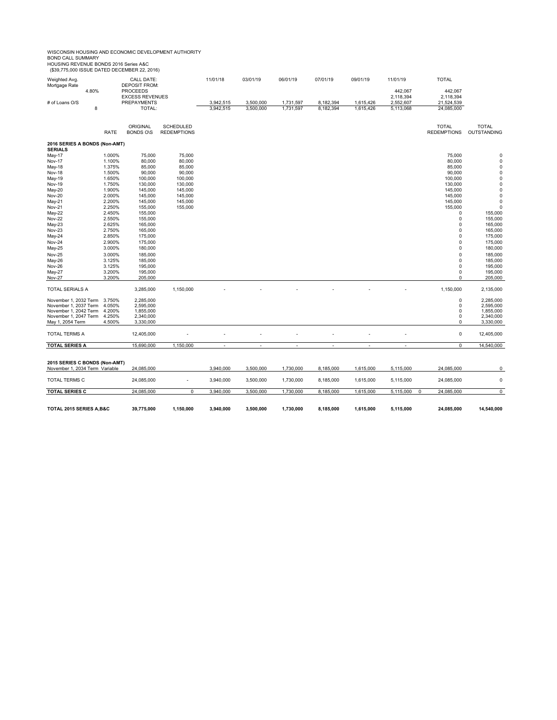# WISCONSIN HOUSING AND ECONOMIC DEVELOPMENT AUTHORITY<br>BOND CALL SUMMARY<br>HOUSING REVENUE BONDS 2016 Series A&C<br>(\$39,775,000 ISSUE DATED DECEMBER 22, 2016)

| Weighted Avg.<br>Mortgage Rate                  |       |                  | CALL DATE:<br><b>DEPOSIT FROM:</b> |                    | 11/01/18                 | 03/01/19                 | 06/01/19                 | 07/01/19                 | 09/01/19                 | 11/01/19                 | <b>TOTAL</b>         |                            |
|-------------------------------------------------|-------|------------------|------------------------------------|--------------------|--------------------------|--------------------------|--------------------------|--------------------------|--------------------------|--------------------------|----------------------|----------------------------|
|                                                 | 4.80% |                  | <b>PROCEEDS</b>                    |                    |                          |                          |                          |                          |                          | 442,067                  | 442,067              |                            |
|                                                 |       |                  | <b>EXCESS REVENUES</b>             |                    |                          |                          |                          |                          |                          | 2,118,394                | 2,118,394            |                            |
| # of Loans O/S                                  |       |                  | PREPAYMENTS                        |                    | 3,942,515                | 3,500,000                | 1,731,597                | 8,182,394                | 1,615,426                | 2,552,607                | 21,524,539           |                            |
|                                                 | 8     |                  | TOTAL:                             |                    | 3,942,515                | 3,500,000                | 1,731,597                | 8,182,394                | 1,615,426                | 5,113,068                | 24,085,000           |                            |
|                                                 |       |                  | <b>ORIGINAL</b>                    | <b>SCHEDULED</b>   |                          |                          |                          |                          |                          |                          | <b>TOTAL</b>         | <b>TOTAL</b>               |
|                                                 |       | <b>RATE</b>      | <b>BONDS OIS</b>                   | <b>REDEMPTIONS</b> |                          |                          |                          |                          |                          |                          | <b>REDEMPTIONS</b>   | OUTSTANDING                |
| 2016 SERIES A BONDS (Non-AMT)<br><b>SERIALS</b> |       |                  |                                    |                    |                          |                          |                          |                          |                          |                          |                      |                            |
| May-17                                          |       | 1.000%           | 75,000                             | 75,000             |                          |                          |                          |                          |                          |                          | 75,000               | 0                          |
| <b>Nov-17</b>                                   |       | 1.100%           | 80,000                             | 80,000             |                          |                          |                          |                          |                          |                          | 80,000               | $\pmb{0}$                  |
| May-18                                          |       | 1.375%           | 85,000                             | 85,000             |                          |                          |                          |                          |                          |                          | 85,000               | $\pmb{0}$                  |
| <b>Nov-18</b>                                   |       | 1.500%           | 90,000                             | 90,000             |                          |                          |                          |                          |                          |                          | 90,000               | $\mathbf 0$                |
| May-19                                          |       | 1.650%           | 100,000                            | 100,000            |                          |                          |                          |                          |                          |                          | 100,000              | $\pmb{0}$                  |
| <b>Nov-19</b>                                   |       | 1.750%           | 130,000                            | 130,000            |                          |                          |                          |                          |                          |                          | 130,000              | $\pmb{0}$                  |
| May-20                                          |       | 1.900%           | 145,000                            | 145,000            |                          |                          |                          |                          |                          |                          | 145,000              | $\mathbf 0$<br>$\mathbf 0$ |
| Nov-20<br>May-21                                |       | 2.000%<br>2.200% | 145,000<br>145,000                 | 145,000<br>145,000 |                          |                          |                          |                          |                          |                          | 145,000<br>145,000   | $\pmb{0}$                  |
| Nov-21                                          |       | 2.250%           | 155,000                            | 155,000            |                          |                          |                          |                          |                          |                          | 155,000              | $\mathbf 0$                |
| May-22                                          |       | 2.450%           | 155,000                            |                    |                          |                          |                          |                          |                          |                          | 0                    | 155,000                    |
| <b>Nov-22</b>                                   |       | 2.550%           | 155,000                            |                    |                          |                          |                          |                          |                          |                          | 0                    | 155,000                    |
| May-23                                          |       | 2.625%           | 165,000                            |                    |                          |                          |                          |                          |                          |                          | $\Omega$             | 165,000                    |
| Nov-23                                          |       | 2.750%           | 165,000                            |                    |                          |                          |                          |                          |                          |                          | 0                    | 165,000                    |
| May-24                                          |       | 2.850%           | 175,000                            |                    |                          |                          |                          |                          |                          |                          | $\Omega$             | 175,000                    |
| <b>Nov-24</b>                                   |       | 2.900%           | 175,000                            |                    |                          |                          |                          |                          |                          |                          | 0                    | 175,000                    |
| May-25                                          |       | 3.000%           | 180,000                            |                    |                          |                          |                          |                          |                          |                          | 0                    | 180,000                    |
| Nov-25                                          |       | 3.000%           | 185,000                            |                    |                          |                          |                          |                          |                          |                          | $\Omega$             | 185,000                    |
| May-26                                          |       | 3.125%           | 185,000                            |                    |                          |                          |                          |                          |                          |                          | $\Omega$<br>$\Omega$ | 185,000                    |
| Nov-26<br>May-27                                |       | 3.125%<br>3.200% | 195,000<br>195,000                 |                    |                          |                          |                          |                          |                          |                          | 0                    | 195,000<br>195,000         |
| <b>Nov-27</b>                                   |       | 3.200%           | 205,000                            |                    |                          |                          |                          |                          |                          |                          | 0                    | 205,000                    |
|                                                 |       |                  |                                    |                    |                          |                          |                          |                          |                          |                          |                      |                            |
| TOTAL SERIALS A                                 |       |                  | 3,285,000                          | 1,150,000          |                          |                          |                          |                          |                          |                          | 1,150,000            | 2,135,000                  |
| November 1, 2032 Term                           |       | 3.750%           | 2,285,000                          |                    |                          |                          |                          |                          |                          |                          | 0                    | 2,285,000                  |
| November 1, 2037 Term                           |       | 4.050%           | 2,595,000                          |                    |                          |                          |                          |                          |                          |                          | 0                    | 2,595,000                  |
| November 1, 2042 Term<br>November 1, 2047 Term  |       | 4.200%<br>4.250% | 1,855,000<br>2,340,000             |                    |                          |                          |                          |                          |                          |                          | 0<br>$\Omega$        | 1,855,000<br>2,340,000     |
| May 1, 2054 Term                                |       | 4.500%           | 3,330,000                          |                    |                          |                          |                          |                          |                          |                          | 0                    | 3,330,000                  |
|                                                 |       |                  |                                    |                    |                          |                          |                          |                          |                          |                          |                      |                            |
| <b>TOTAL TERMS A</b>                            |       |                  | 12,405,000                         |                    |                          |                          |                          |                          |                          |                          | $\mathsf 0$          | 12,405,000                 |
| <b>TOTAL SERIES A</b>                           |       |                  | 15,690,000                         | 1,150,000          | $\overline{\phantom{a}}$ | $\overline{\phantom{a}}$ | $\overline{\phantom{a}}$ | $\overline{\phantom{a}}$ | $\overline{\phantom{a}}$ | $\overline{\phantom{a}}$ | 0                    | 14,540,000                 |
|                                                 |       |                  |                                    |                    |                          |                          |                          |                          |                          |                          |                      |                            |
| 2015 SERIES C BONDS (Non-AMT)                   |       |                  |                                    |                    |                          |                          |                          |                          |                          |                          |                      |                            |
| November 1, 2034 Term Variable                  |       |                  | 24,085,000                         |                    | 3,940,000                | 3,500,000                | 1,730,000                | 8,185,000                | 1,615,000                | 5,115,000                | 24,085,000           | 0                          |
| TOTAL TERMS C                                   |       |                  | 24,085,000                         |                    | 3,940,000                | 3,500,000                | 1,730,000                | 8,185,000                | 1,615,000                | 5,115,000                | 24,085,000           | $\pmb{0}$                  |
| <b>TOTAL SERIES C</b>                           |       |                  | 24,085,000                         | 0                  | 3,940,000                | 3,500,000                | 1,730,000                | 8,185,000                | 1,615,000                | 5,115,000<br>0           | 24,085,000           | $\overline{0}$             |
|                                                 |       |                  |                                    |                    |                          |                          |                          |                          |                          |                          |                      |                            |
| TOTAL 2015 SERIES A, B&C                        |       |                  | 39,775,000                         | 1,150,000          | 3,940,000                | 3,500,000                | 1,730,000                | 8,185,000                | 1,615,000                | 5,115,000                | 24,085,000           | 14,540,000                 |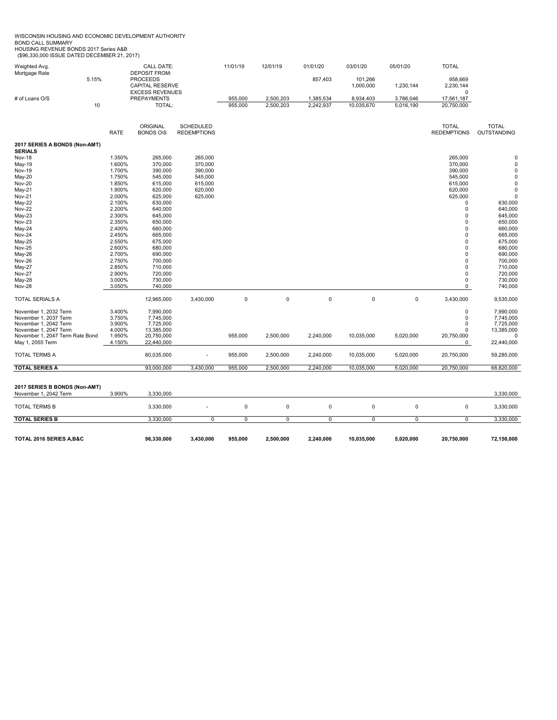WISCONSIN HOUSING AND ECONOMIC DEVELOPMENT AUTHORITY<br>BOND CALL SUMMARY<br>HOUSING REVENUE BONDS 2017 Series A&B<br>(\$96,330,000 ISSUE DATED DECEMBER 21, 2017)

| Weighted Avg.<br>Mortgage Rate                      |                  | <b>CALL DATE:</b><br><b>DEPOSIT FROM:</b>    |                    | 11/01/19    | 12/01/19    | 01/01/20    | 03/01/20                | 05/01/20    | <b>TOTAL</b>           |                        |
|-----------------------------------------------------|------------------|----------------------------------------------|--------------------|-------------|-------------|-------------|-------------------------|-------------|------------------------|------------------------|
| 5.15%                                               |                  | <b>PROCEEDS</b><br><b>CAPITAL RESERVE</b>    |                    |             |             | 857,403     | 101,266<br>1,000,000    | 1,230,144   | 958.669<br>2,230,144   |                        |
| # of Loans O/S                                      |                  | <b>EXCESS REVENUES</b><br><b>PREPAYMENTS</b> |                    | 955,000     | 2,500,203   | 1,385,534   |                         | 3,786,046   | $\Omega$<br>17,561,187 |                        |
| 10                                                  |                  | TOTAL:                                       |                    | 955,000     | 2,500,203   | 2,242,937   | 8,934,403<br>10,035,670 | 5,016,190   | 20,750,000             |                        |
|                                                     |                  | ORIGINAL                                     | <b>SCHEDULED</b>   |             |             |             |                         |             | <b>TOTAL</b>           | <b>TOTAL</b>           |
|                                                     | <b>RATE</b>      | <b>BONDS OIS</b>                             | <b>REDEMPTIONS</b> |             |             |             |                         |             | <b>REDEMPTIONS</b>     | OUTSTANDING            |
| 2017 SERIES A BONDS (Non-AMT)<br><b>SERIALS</b>     |                  |                                              |                    |             |             |             |                         |             |                        |                        |
| <b>Nov-18</b>                                       | 1.350%           | 265,000                                      | 265,000            |             |             |             |                         |             | 265,000                | $\mathbf 0$            |
| May-19<br><b>Nov-19</b>                             | 1.600%<br>1.700% | 370,000<br>390,000                           | 370,000<br>390,000 |             |             |             |                         |             | 370,000<br>390,000     | 0<br>$\mathbf 0$       |
| May-20                                              | 1.750%           | 545,000                                      | 545,000            |             |             |             |                         |             | 545,000                | $\pmb{0}$              |
| Nov-20                                              | 1.850%           | 615,000                                      | 615,000            |             |             |             |                         |             | 615,000                | 0                      |
| May-21                                              | 1.900%           | 620,000                                      | 620,000            |             |             |             |                         |             | 620,000                | $\mathbf 0$            |
| <b>Nov-21</b>                                       | 2.000%           | 625,000                                      | 625,000            |             |             |             |                         |             | 625,000                | $\Omega$               |
| May-22                                              | 2.100%           | 630,000                                      |                    |             |             |             |                         |             | 0                      | 630,000                |
| <b>Nov-22</b>                                       | 2.200%           | 640,000                                      |                    |             |             |             |                         |             | 0                      | 640,000                |
| May-23<br>Nov-23                                    | 2.300%<br>2.350% | 645,000<br>650,000                           |                    |             |             |             |                         |             | 0<br>0                 | 645,000<br>650.000     |
| May-24                                              | 2.400%           | 660,000                                      |                    |             |             |             |                         |             | 0                      | 660,000                |
| <b>Nov-24</b>                                       | 2.450%           | 665,000                                      |                    |             |             |             |                         |             | 0                      | 665,000                |
| May-25                                              | 2.550%           | 675,000                                      |                    |             |             |             |                         |             | $\mathbf 0$            | 675,000                |
| Nov-25                                              | 2.600%           | 680,000                                      |                    |             |             |             |                         |             | $\mathbf 0$            | 680,000                |
| May-26                                              | 2.700%           | 690,000                                      |                    |             |             |             |                         |             | 0                      | 690,000                |
| Nov-26                                              | 2.750%           | 700,000                                      |                    |             |             |             |                         |             | 0                      | 700,000                |
| May-27<br><b>Nov-27</b>                             | 2.850%<br>2.900% | 710,000<br>720,000                           |                    |             |             |             |                         |             | 0<br>0                 | 710,000<br>720,000     |
| May-28                                              | 3.000%           | 730,000                                      |                    |             |             |             |                         |             | 0                      | 730,000                |
| <b>Nov-28</b>                                       | 3.050%           | 740,000                                      |                    |             |             |             |                         |             | 0                      | 740,000                |
| <b>TOTAL SERIALS A</b>                              |                  | 12,965,000                                   | 3,430,000          | $\mathbf 0$ | $\mathbf 0$ | $\mathbf 0$ | $\mathbf 0$             | $\mathbf 0$ | 3,430,000              | 9,535,000              |
| November 1, 2032 Term                               | 3.400%           | 7,990,000                                    |                    |             |             |             |                         |             | 0                      | 7,990,000              |
| November 1, 2037 Term                               | 3.750%           | 7,745,000                                    |                    |             |             |             |                         |             | 0                      | 7,745,000              |
| November 1, 2042 Term                               | 3.900%           | 7,725,000                                    |                    |             |             |             |                         |             | 0                      | 7,725,000              |
| November 1, 2047 Term                               | 4.000%<br>1.950% | 13,385,000                                   |                    |             |             |             |                         |             | 0                      | 13,385,000<br>$\Omega$ |
| November 1, 2047 Term Rate Bond<br>May 1, 2055 Term | 4.150%           | 20,750,000<br>22,440,000                     |                    | 955,000     | 2,500,000   | 2,240,000   | 10,035,000              | 5,020,000   | 20,750,000<br>0        | 22,440,000             |
| <b>TOTAL TERMS A</b>                                |                  | 80,035,000                                   |                    | 955,000     | 2,500,000   | 2,240,000   | 10,035,000              | 5,020,000   | 20,750,000             | 59,285,000             |
| <b>TOTAL SERIES A</b>                               |                  | 93,000,000                                   | 3,430,000          | 955,000     | 2,500,000   | 2,240,000   | 10,035,000              | 5,020,000   | 20,750,000             | 68,820,000             |
|                                                     |                  |                                              |                    |             |             |             |                         |             |                        |                        |
| 2017 SERIES B BONDS (Non-AMT)                       |                  |                                              |                    |             |             |             |                         |             |                        |                        |
| November 1, 2042 Term                               | 3.900%           | 3,330,000                                    |                    |             |             |             |                         |             |                        | 3,330,000              |
| <b>TOTAL TERMS B</b>                                |                  | 3,330,000                                    |                    | $\pmb{0}$   | $\pmb{0}$   | $\mathbf 0$ | $\mathbf 0$             | $\pmb{0}$   | $\pmb{0}$              | 3,330,000              |
| <b>TOTAL SERIES B</b>                               |                  | 3,330,000                                    | $\mathbf 0$        | $\mathbf 0$ | $\mathbf 0$ | $\mathbf 0$ | $\mathbf 0$             | $\mathbf 0$ | $\mathbf 0$            | 3,330,000              |
| TOTAL 2016 SERIES A,B&C                             |                  | 96,330,000                                   | 3,430,000          | 955,000     | 2,500,000   | 2,240,000   | 10,035,000              | 5,020,000   | 20,750,000             | 72,150,000             |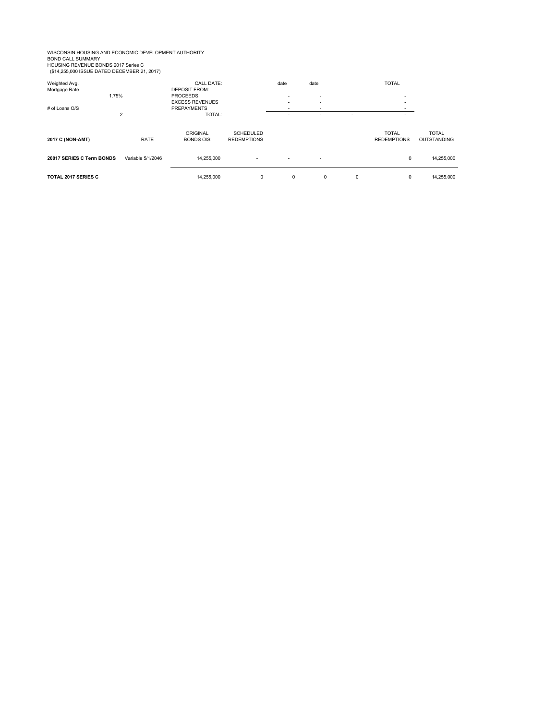WISCONSIN HOUSING AND ECONOMIC DEVELOPMENT AUTHORITY<br>BOND CALL SUMMARY<br>HOUSING REVENUE BONDS 2017 Series C<br>(\$14,255,000 ISSUE DATED DECEMBER 21, 2017)

Weighted Avg. CALL DATE: date date TOTAL Mortgage Rate DEPOSIT FROM: 1.75% PROCEEDS - - - EXCESS REVENUES - - - # of Loans O/S PREPAYMENTS - - - 2 TOTAL: - - - - ORIGINAL SCHEDULED SCHEDULED SOMETIC SCHEDULED SOMETIC TOTAL TOTAL TOTAL **2017 C (NON-AMT)** RATE BONDS O\S REDEMPTIONS REDEMPTIONS OUTSTANDING **20017 SERIES C Term BONDS** Variable 5/1/2046 14,255,000 14,255,000 14,255,000 14,255,000 14,255,000 14,255,000 **TOTAL 2017 SERIES C** 14,255,000 0 0 0 0 0 14,255,000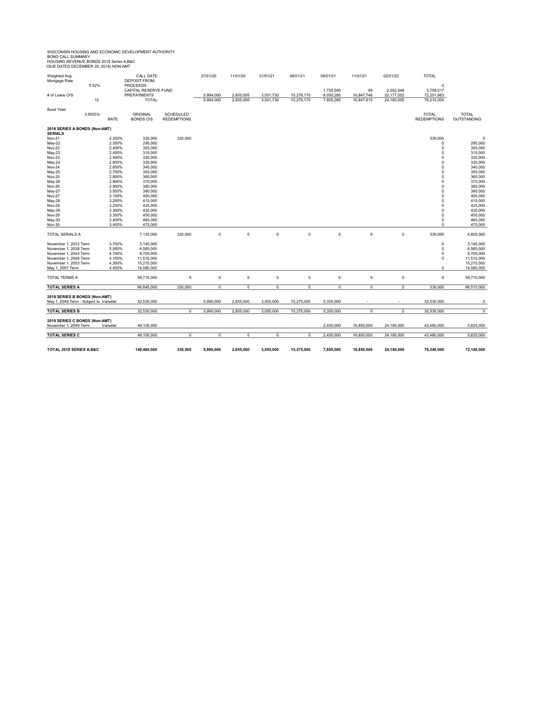# WISCONSIN HOUSING AND ECONOMIC DEVELOPMENT AUTHORITY<br>BOND CALL SUMMARY<br>HOUSING REVENUE BONDS 2018 Series A,B&C<br>ISUE DATED DECEMBER 20, 2018) NON-AMT

| Weighted Avg.<br>Mortgage Rate                                          | 5.52%   | CALL DATE:<br><b>DEPOSIT FROM:</b><br><b>PROCEEDS</b> |                      |                    | 07/01/20            | 11/01/20            | 01/01/21    | 08/01/21    | 09/01/21    | 11/01/21       | 02/01/22       | <b>TOTAL</b><br>$\mathbf 0$ |                    |
|-------------------------------------------------------------------------|---------|-------------------------------------------------------|----------------------|--------------------|---------------------|---------------------|-------------|-------------|-------------|----------------|----------------|-----------------------------|--------------------|
|                                                                         |         |                                                       | CAPITAL RESERVE FUND |                    |                     |                     |             |             | 1,755,000   | 69             | 2,002,948      | 3,758,017                   |                    |
| # of Loans O/S                                                          |         |                                                       | <b>PREPAYMENTS</b>   |                    | 5,994,000           | 2,855,005           | 3,051,730   | 15,276,170  | 6,050,280   | 16,847,746     | 22,177,052     | 72,251,983                  |                    |
|                                                                         | 10      |                                                       | TOTAL:               |                    | 5,994,000           | 2,855,005           | 3,051,730   | 15,276,170  | 7,805,280   | 16,847,815     | 24,180,000     | 76,010,000                  |                    |
| <b>Bond Yield</b>                                                       |         |                                                       |                      |                    |                     |                     |             |             |             |                |                |                             |                    |
|                                                                         | 3.9553% |                                                       | ORIGINAL             | SCHEDULED          |                     |                     |             |             |             |                |                | <b>TOTAL</b>                | <b>TOTAL</b>       |
|                                                                         |         | <b>RATE</b>                                           | <b>BONDS OIS</b>     | <b>REDEMPTIONS</b> |                     |                     |             |             |             |                |                | <b>REDEMPTIONS</b>          | OUTSTANDING        |
| 2018 SERIES A BONDS (Non-AMT)<br><b>SERIALS</b>                         |         |                                                       |                      |                    |                     |                     |             |             |             |                |                |                             |                    |
| Nov-21                                                                  |         | 2.250%                                                | 330,000              | 330,000            |                     |                     |             |             |             |                |                | 330,000                     | $\circ$            |
| May-22                                                                  |         | 2.350%                                                | 295,000              |                    |                     |                     |             |             |             |                |                | $\mathbf 0$                 | 295,000            |
| <b>Nov-22</b>                                                           |         | 2.400%                                                | 305,000              |                    |                     |                     |             |             |             |                |                | $\mathbf 0$                 | 305,000            |
| May-23                                                                  |         | 2.450%                                                | 310,000              |                    |                     |                     |             |             |             |                |                | $\mathbf 0$                 | 310,000            |
| <b>Nov-23</b>                                                           |         | 2.500%                                                | 320,000              |                    |                     |                     |             |             |             |                |                | $\mathbf 0$                 | 320,000            |
| May-24                                                                  |         | 2.600%                                                | 330,000              |                    |                     |                     |             |             |             |                |                | $\mathbf 0$                 | 330,000            |
| <b>Nov-24</b>                                                           |         | 2.650%                                                | 340,000              |                    |                     |                     |             |             |             |                |                | $\mathbf 0$                 | 340,000            |
| May-25                                                                  |         | 2.700%                                                | 350,000              |                    |                     |                     |             |             |             |                |                | $\mathbf 0$                 | 350,000            |
| <b>Nov-25</b>                                                           |         | 2.800%                                                | 360,000              |                    |                     |                     |             |             |             |                |                | $\mathbf 0$                 | 360,000            |
| May-26                                                                  |         | 2.900%                                                | 370,000              |                    |                     |                     |             |             |             |                |                | $\mathbf 0$                 | 370,000            |
| Nov-26                                                                  |         | 2.950%<br>3.050%                                      | 380,000              |                    |                     |                     |             |             |             |                |                | $\mathbf 0$                 | 380,000            |
| May-27<br>Nov-27                                                        |         | 3.100%                                                | 390,000<br>400,000   |                    |                     |                     |             |             |             |                |                | $\mathbf 0$<br>$\mathbf 0$  | 390,000<br>400,000 |
| <b>May-28</b>                                                           |         | 3.200%                                                | 410,000              |                    |                     |                     |             |             |             |                |                | $\mathbf 0$                 | 410,000            |
| Nov-28                                                                  |         | 3.250%                                                | 425,000              |                    |                     |                     |             |             |             |                |                | $\mathbf 0$                 | 425,000            |
| May-29                                                                  |         | 3.300%                                                | 435,000              |                    |                     |                     |             |             |             |                |                | $\mathbf 0$                 | 435,000            |
| <b>Nov-29</b>                                                           |         | 3.350%                                                | 450,000              |                    |                     |                     |             |             |             |                |                | $\mathbf 0$                 | 450,000            |
| May-30                                                                  |         | 3.400%                                                | 460,000              |                    |                     |                     |             |             |             |                |                | $\mathbf 0$                 | 460,000            |
| Nov-30                                                                  |         | 3.450%                                                | 475,000              |                    |                     |                     |             |             |             |                |                | $\mathbf 0$                 | 475.000            |
|                                                                         |         |                                                       |                      |                    |                     |                     |             |             |             |                |                |                             |                    |
| TOTAL SERIALS A                                                         |         |                                                       | 7,135,000            | 330,000            | $\mathsf{O}\xspace$ | $\mathsf{O}\xspace$ | $\mathbb O$ | $\mathbb O$ | $\mathbb O$ | 0              | $\mathsf 0$    | 330,000                     | 6,805,000          |
| November 1, 2033 Term                                                   |         | 3.700%                                                | 3,140,000            |                    |                     |                     |             |             |             |                |                | $\mathbf 0$                 | 3,140,000          |
| November 1, 2038 Term                                                   |         | 3.950%                                                | 6,565,000            |                    |                     |                     |             |             |             |                |                | $\mathbf 0$                 | 6,565,000          |
| November 1, 2043 Term                                                   |         | 4.100%                                                | 8,700,000            |                    |                     |                     |             |             |             |                |                | $\mathbf 0$                 | 8,700,000          |
| November 1, 2048 Term                                                   |         | 4.150%                                                | 11,510,000           |                    |                     |                     |             |             |             |                |                | $\mathbf 0$                 | 11,510,000         |
| November 1, 2053 Term                                                   |         | 4.300%                                                | 15,215,000           |                    |                     |                     |             |             |             |                |                |                             | 15,215,000         |
| May 1, 2057 Term                                                        |         | 4.450%                                                | 14,580,000           |                    |                     |                     |             |             |             |                |                | $\mathbf 0$                 | 14,580,000         |
| TOTAL TERMS A                                                           |         |                                                       | 59,710,000           | 0                  | $\mathsf 0$         | $\mathsf{O}\xspace$ | $\mathbb O$ | $\mathbf 0$ | $\mathbb O$ | $\mathbf 0$    | $\mathsf 0$    | $\mathbf 0$                 | 59,710,000         |
| <b>TOTAL SERIES A</b>                                                   |         |                                                       | 66,845,000           | 330,000            | $\mathsf 0$         | $\mathsf 0$         | $\mathsf 0$ | $\circ$     | 0           | $\mathbf 0$    | 0              | 330,000                     | 66,515,000         |
|                                                                         |         |                                                       |                      |                    |                     |                     |             |             |             |                |                |                             |                    |
| 2018 SERIES B BONDS (Non-AMT)<br>May 1, 2049 Term - Subject to Variable |         |                                                       | 32,530,000           |                    | 5,990,000           | 2,855,000           | 3,055,000   | 15,275,000  | 5,355,000   |                |                | 32,530,000                  | 0                  |
|                                                                         |         |                                                       |                      |                    |                     |                     |             |             |             |                |                |                             |                    |
| <b>TOTAL SERIES B</b>                                                   |         |                                                       | 32,530,000           | $\overline{0}$     | 5,990,000           | 2,855,000           | 3,055,000   | 15,275,000  | 5,355,000   | $\overline{0}$ | $\overline{0}$ | 32,530,000                  | $\overline{0}$     |
| 2018 SERIES C BONDS (Non-AMT)                                           |         |                                                       |                      |                    |                     |                     |             |             |             |                |                |                             |                    |
| November 1, 2049 Term                                                   |         | Variable                                              | 49,105,000           |                    |                     |                     |             |             | 2,450,000   | 16,850,000     | 24,180,000     | 43,480,000                  | 5,625,000          |
| <b>TOTAL SERIES C</b>                                                   |         |                                                       | 49,105,000           | 0                  | $\mathbf 0$         | $^{\circ}$          | $\mathbf 0$ | $\circ$     | 2,450,000   | 16,850,000     | 24,180,000     | 43,480,000                  | 5,625,000          |
|                                                                         |         |                                                       |                      |                    |                     |                     |             |             |             |                |                |                             |                    |
| TOTAL 2018 SERIES A, B&C                                                |         |                                                       | 148,480,000          | 330,000            | 5.990.000           | 2.855.000           | 3.055.000   | 15,275,000  | 7.805.000   | 16,850,000     | 24.180.000     | 76,340,000                  | 72,140,000         |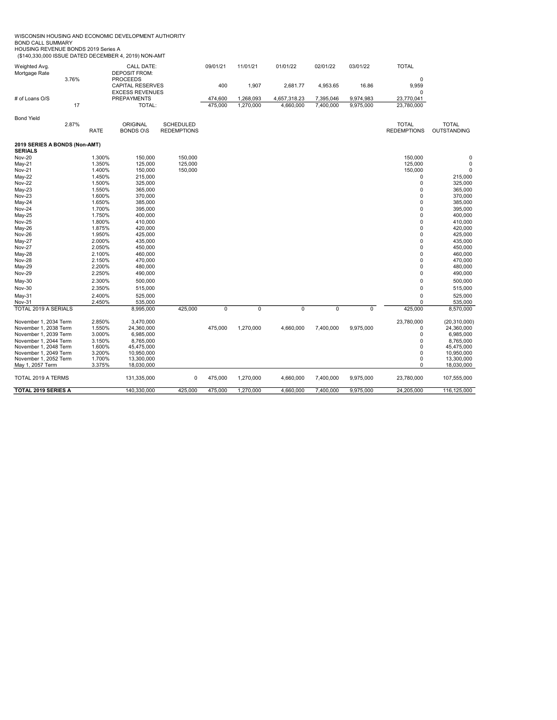| WISCONSIN HOUSING AND ECONOMIC DEVELOPMENT AUTHORITY |  |
|------------------------------------------------------|--|
| <b>DONID CALL CLIMMADV</b>                           |  |

BOND CALL SUMMARY HOUSING REVENUE BONDS 2019 Series A (\$140,330,000 ISSUE DATED DECEMBER 4, 2019) NON-AMT

| Weighted Avg.                                  |       |                  | <b>CALL DATE:</b>                                 |                    | 09/01/21 | 11/01/21  | 01/01/22       | 02/01/22       | 03/01/22       | <b>TOTAL</b>       |                         |
|------------------------------------------------|-------|------------------|---------------------------------------------------|--------------------|----------|-----------|----------------|----------------|----------------|--------------------|-------------------------|
| Mortgage Rate                                  |       |                  | <b>DEPOSIT FROM:</b>                              |                    |          |           |                |                |                |                    |                         |
|                                                | 3.76% |                  | <b>PROCEEDS</b>                                   |                    |          |           |                |                |                | $\mathbf 0$        |                         |
|                                                |       |                  | <b>CAPITAL RESERVES</b><br><b>EXCESS REVENUES</b> |                    | 400      | 1,907     | 2,681.77       | 4,953.65       | 16.86          | 9,959<br>$\Omega$  |                         |
| # of Loans O/S                                 |       |                  | <b>PREPAYMENTS</b>                                |                    | 474,600  | 1,268,093 | 4,657,318.23   | 7,395,046      | 9,974,983      | 23,770,041         |                         |
|                                                | 17    |                  | TOTAL:                                            |                    | 475,000  | 1,270,000 | 4,660,000      | 7,400,000      | 9,975,000      | 23,780,000         |                         |
|                                                |       |                  |                                                   |                    |          |           |                |                |                |                    |                         |
| <b>Bond Yield</b>                              |       |                  |                                                   |                    |          |           |                |                |                |                    |                         |
|                                                | 2.87% |                  | <b>ORIGINAL</b>                                   | <b>SCHEDULED</b>   |          |           |                |                |                | <b>TOTAL</b>       | <b>TOTAL</b>            |
|                                                |       | <b>RATE</b>      | <b>BONDS O\S</b>                                  | <b>REDEMPTIONS</b> |          |           |                |                |                | <b>REDEMPTIONS</b> | <b>OUTSTANDING</b>      |
| 2019 SERIES A BONDS (Non-AMT)                  |       |                  |                                                   |                    |          |           |                |                |                |                    |                         |
| <b>SERIALS</b>                                 |       |                  |                                                   |                    |          |           |                |                |                |                    |                         |
| <b>Nov-20</b>                                  |       | 1.300%           | 150,000                                           | 150,000            |          |           |                |                |                | 150,000            | $\mathbf 0$             |
| $May-21$                                       |       | 1.350%           | 125,000                                           | 125,000            |          |           |                |                |                | 125,000            | 0                       |
| Nov-21                                         |       | 1.400%           | 150,000                                           | 150,000            |          |           |                |                |                | 150,000            | $\mathbf 0$             |
| $May-22$                                       |       | 1.450%           | 215,000                                           |                    |          |           |                |                |                | 0                  | 215,000                 |
| <b>Nov-22</b>                                  |       | 1.500%           | 325,000                                           |                    |          |           |                |                |                | $\mathbf 0$        | 325,000                 |
| $May-23$                                       |       | 1.550%           | 365,000                                           |                    |          |           |                |                |                | 0                  | 365,000                 |
| Nov-23                                         |       | 1.600%           | 370,000                                           |                    |          |           |                |                |                | 0                  | 370,000                 |
| May-24                                         |       | 1.650%           | 385,000                                           |                    |          |           |                |                |                | 0                  | 385,000                 |
| Nov-24                                         |       | 1.700%           | 395,000                                           |                    |          |           |                |                |                | $\mathbf 0$        | 395,000                 |
| May-25                                         |       | 1.750%           | 400,000                                           |                    |          |           |                |                |                | $\mathbf 0$        | 400,000                 |
| <b>Nov-25</b>                                  |       | 1.800%           | 410,000                                           |                    |          |           |                |                |                | $\mathbf 0$        | 410,000                 |
| May-26                                         |       | 1.875%           | 420,000                                           |                    |          |           |                |                |                | $\mathbf 0$        | 420,000                 |
| Nov-26                                         |       | 1.950%           | 425,000                                           |                    |          |           |                |                |                | $\mathbf 0$        | 425,000                 |
| $May-27$                                       |       | 2.000%           | 435,000                                           |                    |          |           |                |                |                | $\mathbf 0$        | 435,000                 |
| <b>Nov-27</b>                                  |       | 2.050%           | 450,000                                           |                    |          |           |                |                |                | $\mathbf 0$        | 450,000                 |
| May-28                                         |       | 2.100%           | 460,000                                           |                    |          |           |                |                |                | $\mathbf 0$        | 460,000                 |
| <b>Nov-28</b>                                  |       | 2.150%           | 470,000                                           |                    |          |           |                |                |                | $\mathbf 0$        | 470,000                 |
| May-29                                         |       | 2.200%           | 480,000                                           |                    |          |           |                |                |                | 0                  | 480,000                 |
| <b>Nov-29</b>                                  |       | 2.250%           | 490,000                                           |                    |          |           |                |                |                | $\mathbf 0$        | 490,000                 |
| $May-30$                                       |       | 2.300%           | 500,000                                           |                    |          |           |                |                |                | $\pmb{0}$          | 500,000                 |
| Nov-30                                         |       | 2.350%           | 515,000                                           |                    |          |           |                |                |                | $\mathbf 0$        | 515,000                 |
| $May-31$                                       |       | 2.400%           | 525.000                                           |                    |          |           |                |                |                | $\mathbf 0$        | 525,000                 |
| Nov-31                                         |       | 2.450%           | 535,000                                           |                    |          |           |                |                |                | 0                  | 535,000                 |
| TOTAL 2019 A SERIALS                           |       |                  | 8,995,000                                         | 425,000            | 0        | 0         | $\overline{0}$ | $\overline{0}$ | $\overline{0}$ | 425,000            | 8,570,000               |
|                                                |       |                  |                                                   |                    |          |           |                |                |                |                    |                         |
| November 1, 2034 Term                          |       | 2.850%           | 3,470,000                                         |                    |          |           |                |                |                | 23,780,000         | (20, 310, 000)          |
| November 1, 2038 Term                          |       | 1.550%           | 24,360,000                                        |                    | 475,000  | 1,270,000 | 4,660,000      | 7,400,000      | 9,975,000      | 0<br>$\mathbf 0$   | 24,360,000              |
| November 1, 2039 Term                          |       | 3.000%           | 6,985,000                                         |                    |          |           |                |                |                |                    | 6,985,000               |
| November 1, 2044 Term<br>November 1, 2048 Term |       | 3.150%<br>1.600% | 8,765,000<br>45,475,000                           |                    |          |           |                |                |                | 0<br>$\Omega$      | 8,765,000<br>45,475,000 |
| November 1, 2049 Term                          |       | 3.200%           | 10,950,000                                        |                    |          |           |                |                |                | $\mathbf 0$        | 10,950,000              |
| November 1, 2052 Term                          |       | 1.700%           | 13,300,000                                        |                    |          |           |                |                |                | $\pmb{0}$          | 13,300,000              |
| May 1, 2057 Term                               |       | 3.375%           | 18,030,000                                        |                    |          |           |                |                |                | $\mathbf 0$        | 18,030,000              |
| TOTAL 2019 A TERMS                             |       |                  | 131,335,000                                       | $\mathbf 0$        | 475,000  | 1,270,000 | 4,660,000      | 7,400,000      | 9,975,000      | 23,780,000         | 107,555,000             |
| TOTAL 2019 SERIES A                            |       |                  | 140,330,000                                       | 425,000            | 475,000  | 1,270,000 | 4,660,000      | 7,400,000      | 9,975,000      | 24,205,000         | 116,125,000             |
|                                                |       |                  |                                                   |                    |          |           |                |                |                |                    |                         |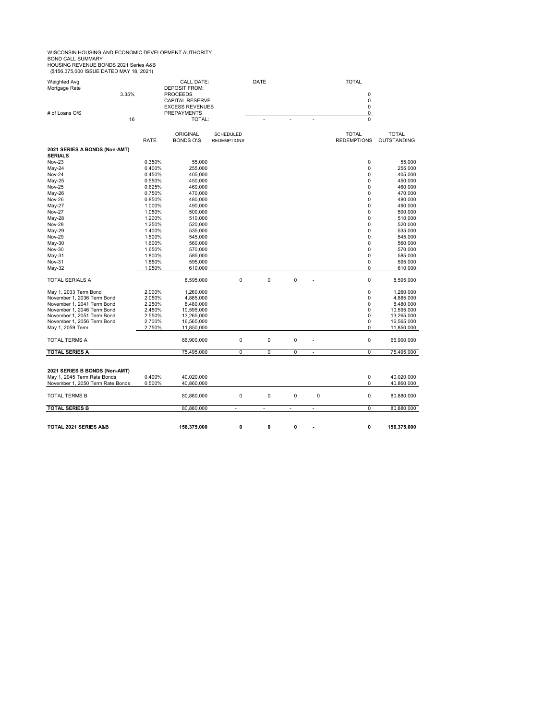WISCONSIN HOUSING AND ECONOMIC DEVELOPMENT AUTHORITY<br>BOND CALL SUMMARY<br>HOUSING REVENUE BONDS 2021 Series A&B

| HUUSIING KEVEINUE BUINDS ZUZT SEITES A&B<br>(\$156,375,000 ISSUE DATED MAY 18, 2021) |       |             |                                           |                    |             |           |                    |              |
|--------------------------------------------------------------------------------------|-------|-------------|-------------------------------------------|--------------------|-------------|-----------|--------------------|--------------|
| Weighted Avg.<br>Mortgage Rate                                                       |       |             | <b>CALL DATE:</b><br><b>DEPOSIT FROM:</b> |                    | <b>DATE</b> |           | <b>TOTAL</b>       |              |
|                                                                                      | 3.35% |             | <b>PROCEEDS</b>                           |                    |             |           | 0                  |              |
|                                                                                      |       |             | <b>CAPITAL RESERVE</b>                    |                    |             |           | 0                  |              |
|                                                                                      |       |             | <b>EXCESS REVENUES</b>                    |                    |             |           | 0                  |              |
| # of Loans O/S                                                                       |       |             | <b>PREPAYMENTS</b>                        |                    |             |           | 0                  |              |
|                                                                                      | 16    |             | TOTAL:                                    |                    |             |           | $\overline{0}$     |              |
|                                                                                      |       |             | <b>ORIGINAL</b>                           | <b>SCHEDULED</b>   |             |           | <b>TOTAL</b>       | <b>TOTAL</b> |
|                                                                                      |       | <b>RATE</b> | <b>BONDS OIS</b>                          | <b>REDEMPTIONS</b> |             |           | <b>REDEMPTIONS</b> | OUTSTANDING  |
| 2021 SERIES A BONDS (Non-AMT)<br><b>SERIALS</b>                                      |       |             |                                           |                    |             |           |                    |              |
| Nov-23                                                                               |       | 0.350%      | 55,000                                    |                    |             |           | 0                  | 55,000       |
| May-24                                                                               |       | 0.400%      | 255,000                                   |                    |             |           | 0                  | 255,000      |
| <b>Nov-24</b>                                                                        |       | 0.450%      | 405,000                                   |                    |             |           | 0                  | 405,000      |
| May-25                                                                               |       | 0.550%      | 450,000                                   |                    |             |           | 0                  | 450,000      |
| <b>Nov-25</b>                                                                        |       | 0.625%      | 460,000                                   |                    |             |           | 0                  | 460,000      |
| May-26                                                                               |       | 0.750%      | 470,000                                   |                    |             |           | 0                  | 470,000      |
| <b>Nov-26</b>                                                                        |       | 0.850%      | 480,000                                   |                    |             |           | 0                  | 480,000      |
| May-27                                                                               |       | 1.000%      | 490,000                                   |                    |             |           | 0                  | 490,000      |
| <b>Nov-27</b>                                                                        |       | 1.050%      | 500,000                                   |                    |             |           | 0                  | 500,000      |
| May-28                                                                               |       | 1.200%      | 510,000                                   |                    |             |           | 0                  | 510,000      |
| <b>Nov-28</b>                                                                        |       | 1.250%      | 520,000                                   |                    |             |           | 0                  | 520,000      |
| May-29                                                                               |       | 1.400%      | 535,000                                   |                    |             |           | 0                  | 535,000      |
| <b>Nov-29</b>                                                                        |       | 1.500%      | 545,000                                   |                    |             |           | 0                  | 545,000      |
| May-30                                                                               |       | 1.600%      | 560,000                                   |                    |             |           | 0                  | 560,000      |
| Nov-30                                                                               |       | 1.650%      | 570,000                                   |                    |             |           | 0                  | 570,000      |
| May-31                                                                               |       | 1.800%      | 585,000                                   |                    |             |           | 0                  | 585,000      |
| Nov-31                                                                               |       | 1.850%      | 595,000                                   |                    |             |           | 0                  | 595,000      |
| May-32                                                                               |       | 1.950%      | 610,000                                   |                    |             |           | $\Omega$           | 610,000      |
| TOTAL SERIALS A                                                                      |       |             | 8,595,000                                 | 0                  | 0           | $\pmb{0}$ | 0                  | 8,595,000    |
| May 1, 2033 Term Bond                                                                |       | 2.000%      | 1,260,000                                 |                    |             |           | $\mathbf 0$        | 1,260,000    |
| November 1, 2036 Term Bond                                                           |       | 2.050%      | 4,885,000                                 |                    |             |           | $\mathbf 0$        | 4,885,000    |
| November 1, 2041 Term Bond                                                           |       | 2.250%      | 8,480,000                                 |                    |             |           | 0                  | 8,480,000    |
| November 1, 2046 Term Bond                                                           |       | 2.450%      | 10,595,000                                |                    |             |           | 0                  | 10,595,000   |
| November 1, 2051 Term Bond                                                           |       | 2.550%      | 13,265,000                                |                    |             |           | 0                  | 13,265,000   |
| November 1, 2056 Term Bond                                                           |       | 2.700%      | 16,565,000                                |                    |             |           | 0                  | 16,565,000   |
| May 1, 2059 Term                                                                     |       | 2.750%      | 11,850,000                                |                    |             |           | $\Omega$           | 11,850,000   |

| TOTAL 2021 SERIES A&B                                                                            | 156.375.000                                  | 0 | 0        | 0 | ۰ | 156,375,000              |
|--------------------------------------------------------------------------------------------------|----------------------------------------------|---|----------|---|---|--------------------------|
| <b>TOTAL SERIES B</b>                                                                            | 80.880.000                                   |   |          |   |   | 80,880,000               |
| <b>TOTAL TERMS B</b>                                                                             | 80.880.000                                   | 0 | $\Omega$ | 0 | 0 | 80,880,000               |
| 2021 SERIES B BONDS (Non-AMT)<br>May 1, 2045 Term Rate Bonds<br>November 1, 2050 Term Rate Bonds | 0.400%<br>40.020.000<br>0.500%<br>40.860.000 |   |          |   |   | 40,020,000<br>40,860,000 |
|                                                                                                  |                                              |   |          |   |   |                          |

TOTAL TERMS A 66,900,000 0 0 0 - 0 66,900,000 **TOTAL SERIES A 75,495,000** 0 0 0 0 0 75,495,000